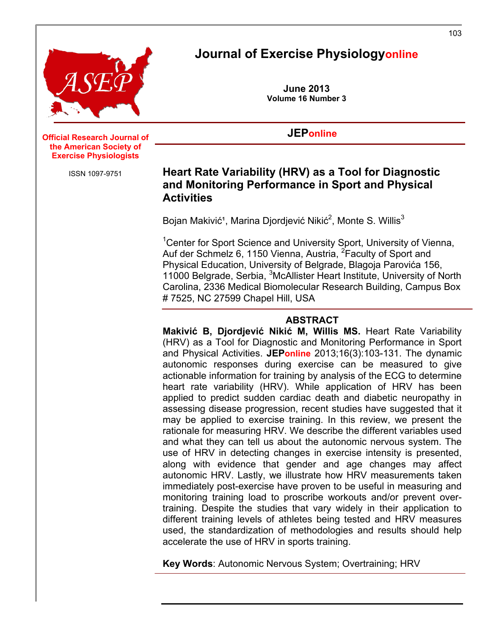

# **Journal of Exercise Physiologyonline**

**June 2013 Volume 16 Number 3**

### **JEPonline**

#### **Official Research Journal of** the American Society of **Exercise Physiologists**

ISSN 1097-9751

### **Heart Rate Variability (HRV) as a Tool for Diagnostic and Monitoring Performance in Sport and Physical Activities**

Bojan Makivić<sup>1</sup>, Marina Djordjević Nikić<sup>2</sup>, Monte S. Willis $^3$ 

<sup>1</sup> Center for Sport Science and University Sport, University of Vienna, Auf der Schmelz 6, 1150 Vienna, Austria, <sup>2</sup>Faculty of Sport and Physical Education, University of Belgrade, Blagoja Parovića 156, 11000 Belgrade, Serbia, <sup>3</sup>McAllister Heart Institute, University of North Carolina, 2336 Medical Biomolecular Research Building, Campus Box # 7525, NC 27599 Chapel Hill, USA

#### **ABSTRACT**

**Makivić B, Djordjević Nikić M, Willis MS.** Heart Rate Variability (HRV) as a Tool for Diagnostic and Monitoring Performance in Sport and Physical Activities. **JEPonline** 2013;16(3):103-131. The dynamic autonomic responses during exercise can be measured to give actionable information for training by analysis of the ECG to determine heart rate variability (HRV). While application of HRV has been applied to predict sudden cardiac death and diabetic neuropathy in assessing disease progression, recent studies have suggested that it may be applied to exercise training. In this review, we present the rationale for measuring HRV. We describe the different variables used and what they can tell us about the autonomic nervous system. The use of HRV in detecting changes in exercise intensity is presented, along with evidence that gender and age changes may affect autonomic HRV. Lastly, we illustrate how HRV measurements taken immediately post-exercise have proven to be useful in measuring and monitoring training load to proscribe workouts and/or prevent overtraining. Despite the studies that vary widely in their application to different training levels of athletes being tested and HRV measures used, the standardization of methodologies and results should help accelerate the use of HRV in sports training.

**Key Words**: Autonomic Nervous System; Overtraining; HRV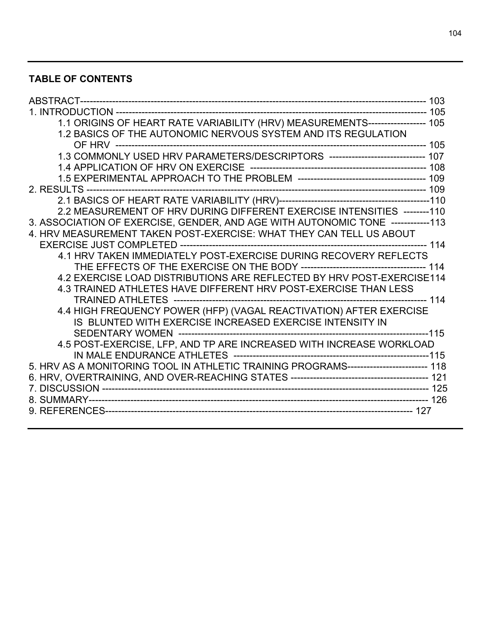## **TABLE OF CONTENTS**

| 1.1 ORIGINS OF HEART RATE VARIABILITY (HRV) MEASUREMENTS------------------ 105        |  |
|---------------------------------------------------------------------------------------|--|
| 1.2 BASICS OF THE AUTONOMIC NERVOUS SYSTEM AND ITS REGULATION                         |  |
|                                                                                       |  |
|                                                                                       |  |
|                                                                                       |  |
|                                                                                       |  |
|                                                                                       |  |
|                                                                                       |  |
| 2.2 MEASUREMENT OF HRV DURING DIFFERENT EXERCISE INTENSITIES -------- 110             |  |
| 3. ASSOCIATION OF EXERCISE, GENDER, AND AGE WITH AUTONOMIC TONE ------------113       |  |
| 4. HRV MEASUREMENT TAKEN POST-EXERCISE: WHAT THEY CAN TELL US ABOUT                   |  |
|                                                                                       |  |
| 4.1 HRV TAKEN IMMEDIATELY POST-EXERCISE DURING RECOVERY REFLECTS                      |  |
|                                                                                       |  |
| 4.2 EXERCISE LOAD DISTRIBUTIONS ARE REFLECTED BY HRV POST-EXERCISE114                 |  |
| 4.3 TRAINED ATHLETES HAVE DIFFERENT HRV POST-EXERCISE THAN LESS                       |  |
|                                                                                       |  |
| 4.4 HIGH FREQUENCY POWER (HFP) (VAGAL REACTIVATION) AFTER EXERCISE                    |  |
| IS BLUNTED WITH EXERCISE INCREASED EXERCISE INTENSITY IN                              |  |
|                                                                                       |  |
| 4.5 POST-EXERCISE, LFP, AND TP ARE INCREASED WITH INCREASE WORKLOAD                   |  |
|                                                                                       |  |
| 5. HRV AS A MONITORING TOOL IN ATHLETIC TRAINING PROGRAMS------------------------ 118 |  |
|                                                                                       |  |
|                                                                                       |  |
|                                                                                       |  |
|                                                                                       |  |
|                                                                                       |  |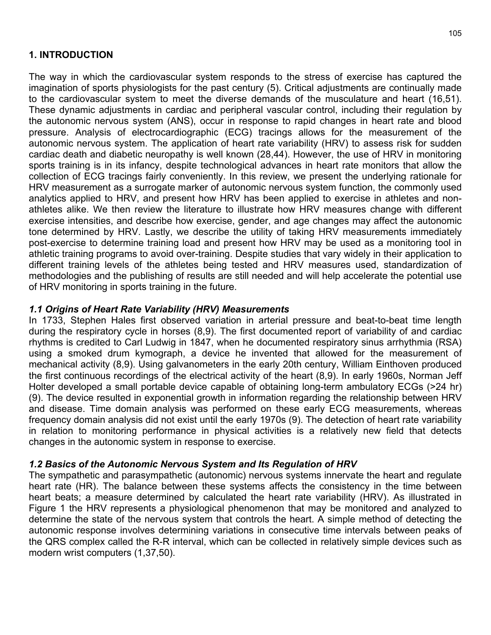### **1. INTRODUCTION**

The way in which the cardiovascular system responds to the stress of exercise has captured the imagination of sports physiologists for the past century (5). Critical adjustments are continually made to the cardiovascular system to meet the diverse demands of the musculature and heart (16,51). These dynamic adjustments in cardiac and peripheral vascular control, including their regulation by the autonomic nervous system (ANS), occur in response to rapid changes in heart rate and blood pressure. Analysis of electrocardiographic (ECG) tracings allows for the measurement of the autonomic nervous system. The application of heart rate variability (HRV) to assess risk for sudden cardiac death and diabetic neuropathy is well known (28,44). However, the use of HRV in monitoring sports training is in its infancy, despite technological advances in heart rate monitors that allow the collection of ECG tracings fairly conveniently. In this review, we present the underlying rationale for HRV measurement as a surrogate marker of autonomic nervous system function, the commonly used analytics applied to HRV, and present how HRV has been applied to exercise in athletes and nonathletes alike. We then review the literature to illustrate how HRV measures change with different exercise intensities, and describe how exercise, gender, and age changes may affect the autonomic tone determined by HRV. Lastly, we describe the utility of taking HRV measurements immediately post-exercise to determine training load and present how HRV may be used as a monitoring tool in athletic training programs to avoid over-training. Despite studies that vary widely in their application to different training levels of the athletes being tested and HRV measures used, standardization of methodologies and the publishing of results are still needed and will help accelerate the potential use of HRV monitoring in sports training in the future.

### *1.1 Origins of Heart Rate Variability (HRV) Measurements*

In 1733, Stephen Hales first observed variation in arterial pressure and beat-to-beat time length during the respiratory cycle in horses (8,9). The first documented report of variability of and cardiac rhythms is credited to Carl Ludwig in 1847, when he documented respiratory sinus arrhythmia (RSA) using a smoked drum kymograph, a device he invented that allowed for the measurement of mechanical activity (8,9). Using galvanometers in the early 20th century, William Einthoven produced the first continuous recordings of the electrical activity of the heart (8,9). In early 1960s, Norman Jeff Holter developed a small portable device capable of obtaining long-term ambulatory ECGs (>24 hr) (9). The device resulted in exponential growth in information regarding the relationship between HRV and disease. Time domain analysis was performed on these early ECG measurements, whereas frequency domain analysis did not exist until the early 1970s (9). The detection of heart rate variability in relation to monitoring performance in physical activities is a relatively new field that detects changes in the autonomic system in response to exercise.

#### *1.2 Basics of the Autonomic Nervous System and Its Regulation of HRV*

The sympathetic and parasympathetic (autonomic) nervous systems innervate the heart and regulate heart rate (HR). The balance between these systems affects the consistency in the time between heart beats; a measure determined by calculated the heart rate variability (HRV). As illustrated in Figure 1 the HRV represents a physiological phenomenon that may be monitored and analyzed to determine the state of the nervous system that controls the heart. A simple method of detecting the autonomic response involves determining variations in consecutive time intervals between peaks of the QRS complex called the R-R interval, which can be collected in relatively simple devices such as modern wrist computers (1,37,50).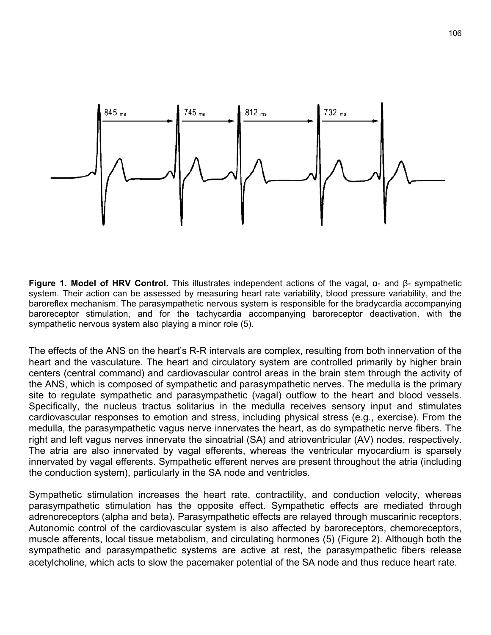

**Figure 1. Model of HRV Control.** This illustrates independent actions of the vagal, α- and β- sympathetic system. Their action can be assessed by measuring heart rate variability, blood pressure variability, and the baroreflex mechanism. The parasympathetic nervous system is responsible for the bradycardia accompanying baroreceptor stimulation, and for the tachycardia accompanying baroreceptor deactivation, with the sympathetic nervous system also playing a minor role (5).

The effects of the ANS on the heart's R-R intervals are complex, resulting from both innervation of the heart and the vasculature. The heart and circulatory system are controlled primarily by higher brain centers (central command) and cardiovascular control areas in the brain stem through the activity of the ANS, which is composed of sympathetic and parasympathetic nerves. The medulla is the primary site to regulate sympathetic and parasympathetic (vagal) outflow to the heart and blood vessels. Specifically, the nucleus tractus solitarius in the medulla receives sensory input and stimulates cardiovascular responses to emotion and stress, including physical stress (e.g., exercise). From the medulla, the parasympathetic vagus nerve innervates the heart, as do sympathetic nerve fibers. The right and left vagus nerves innervate the sinoatrial (SA) and atrioventricular (AV) nodes, respectively. The atria are also innervated by vagal efferents, whereas the ventricular myocardium is sparsely innervated by vagal efferents. Sympathetic efferent nerves are present throughout the atria (including the conduction system), particularly in the SA node and ventricles.

Sympathetic stimulation increases the heart rate, contractility, and conduction velocity, whereas parasympathetic stimulation has the opposite effect. Sympathetic effects are mediated through adrenoreceptors (alpha and beta). Parasympathetic effects are relayed through muscarinic receptors. Autonomic control of the cardiovascular system is also affected by baroreceptors, chemoreceptors, muscle afferents, local tissue metabolism, and circulating hormones (5) (Figure 2). Although both the sympathetic and parasympathetic systems are active at rest, the parasympathetic fibers release acetylcholine, which acts to slow the pacemaker potential of the SA node and thus reduce heart rate.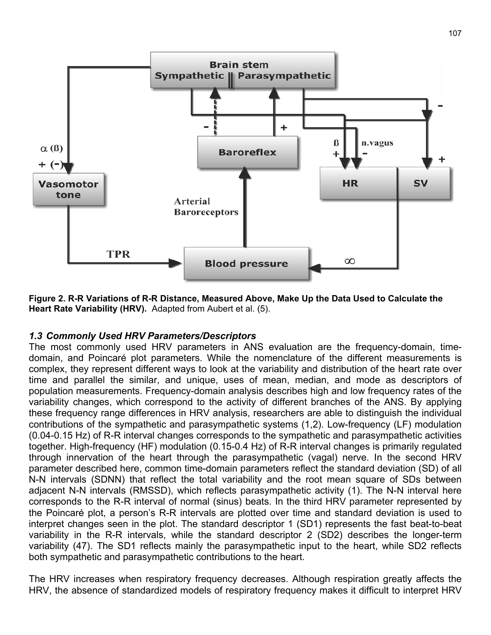

**Figure 2. R-R Variations of R-R Distance, Measured Above, Make Up the Data Used to Calculate the Heart Rate Variability (HRV).** Adapted from Aubert et al. (5).

#### *1.3 Commonly Used HRV Parameters/Descriptors*

The most commonly used HRV parameters in ANS evaluation are the frequency-domain, timedomain, and Poincaré plot parameters. While the nomenclature of the different measurements is complex, they represent different ways to look at the variability and distribution of the heart rate over time and parallel the similar, and unique, uses of mean, median, and mode as descriptors of population measurements. Frequency-domain analysis describes high and low frequency rates of the variability changes, which correspond to the activity of different branches of the ANS. By applying these frequency range differences in HRV analysis, researchers are able to distinguish the individual contributions of the sympathetic and parasympathetic systems (1,2). Low-frequency (LF) modulation (0.04-0.15 Hz) of R-R interval changes corresponds to the sympathetic and parasympathetic activities together. High-frequency (HF) modulation (0.15-0.4 Hz) of R-R interval changes is primarily regulated through innervation of the heart through the parasympathetic (vagal) nerve. In the second HRV parameter described here, common time-domain parameters reflect the standard deviation (SD) of all N-N intervals (SDNN) that reflect the total variability and the root mean square of SDs between adjacent N-N intervals (RMSSD), which reflects parasympathetic activity (1). The N-N interval here corresponds to the R-R interval of normal (sinus) beats. In the third HRV parameter represented by the Poincaré plot, a person's R-R intervals are plotted over time and standard deviation is used to interpret changes seen in the plot. The standard descriptor 1 (SD1) represents the fast beat-to-beat variability in the R-R intervals, while the standard descriptor 2 (SD2) describes the longer-term variability (47). The SD1 reflects mainly the parasympathetic input to the heart, while SD2 reflects both sympathetic and parasympathetic contributions to the heart.

The HRV increases when respiratory frequency decreases. Although respiration greatly affects the HRV, the absence of standardized models of respiratory frequency makes it difficult to interpret HRV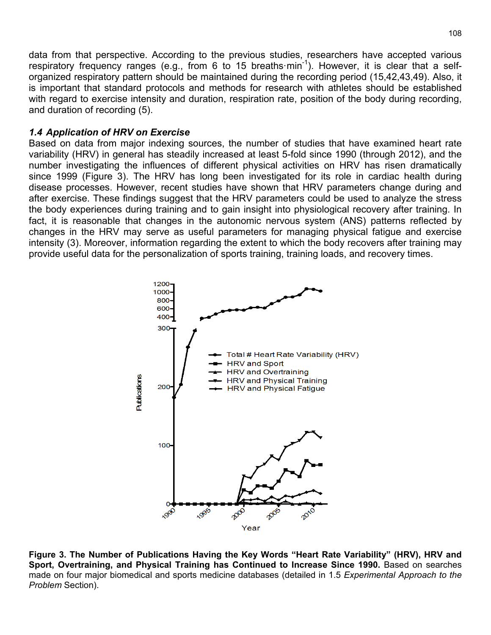data from that perspective. According to the previous studies, researchers have accepted various respiratory frequency ranges (e.g., from 6 to 15 breaths min<sup>-1</sup>). However, it is clear that a selforganized respiratory pattern should be maintained during the recording period (15,42,43,49). Also, it is important that standard protocols and methods for research with athletes should be established with regard to exercise intensity and duration, respiration rate, position of the body during recording, and duration of recording (5).

#### *1.4 Application of HRV on Exercise*

Based on data from major indexing sources, the number of studies that have examined heart rate variability (HRV) in general has steadily increased at least 5-fold since 1990 (through 2012), and the number investigating the influences of different physical activities on HRV has risen dramatically since 1999 (Figure 3). The HRV has long been investigated for its role in cardiac health during disease processes. However, recent studies have shown that HRV parameters change during and after exercise. These findings suggest that the HRV parameters could be used to analyze the stress the body experiences during training and to gain insight into physiological recovery after training. In fact, it is reasonable that changes in the autonomic nervous system (ANS) patterns reflected by changes in the HRV may serve as useful parameters for managing physical fatigue and exercise intensity (3). Moreover, information regarding the extent to which the body recovers after training may provide useful data for the personalization of sports training, training loads, and recovery times.



**Figure 3. The Number of Publications Having the Key Words "Heart Rate Variability" (HRV), HRV and Sport, Overtraining, and Physical Training has Continued to Increase Since 1990.** Based on searches made on four major biomedical and sports medicine databases (detailed in 1.5 *Experimental Approach to the Problem* Section).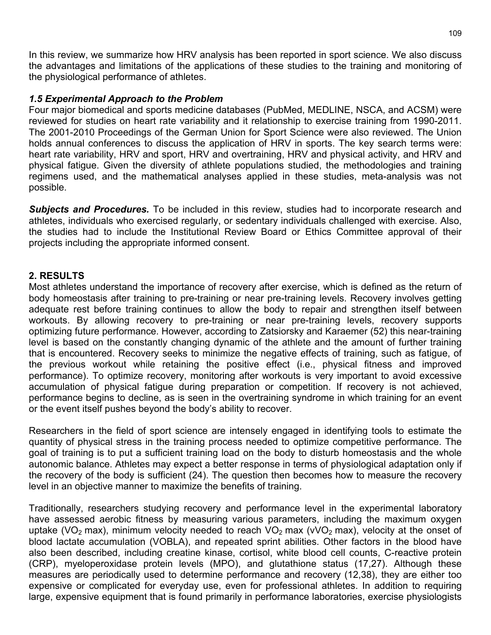In this review, we summarize how HRV analysis has been reported in sport science. We also discuss the advantages and limitations of the applications of these studies to the training and monitoring of the physiological performance of athletes.

#### *1.5 Experimental Approach to the Problem*

Four major biomedical and sports medicine databases (PubMed, MEDLINE, NSCA, and ACSM) were reviewed for studies on heart rate variability and it relationship to exercise training from 1990-2011. The 2001-2010 Proceedings of the German Union for Sport Science were also reviewed. The Union holds annual conferences to discuss the application of HRV in sports. The key search terms were: heart rate variability, HRV and sport, HRV and overtraining, HRV and physical activity, and HRV and physical fatigue. Given the diversity of athlete populations studied, the methodologies and training regimens used, and the mathematical analyses applied in these studies, meta-analysis was not possible.

*Subjects and Procedures.* To be included in this review, studies had to incorporate research and athletes, individuals who exercised regularly, or sedentary individuals challenged with exercise. Also, the studies had to include the Institutional Review Board or Ethics Committee approval of their projects including the appropriate informed consent.

#### **2. RESULTS**

Most athletes understand the importance of recovery after exercise, which is defined as the return of body homeostasis after training to pre-training or near pre-training levels. Recovery involves getting adequate rest before training continues to allow the body to repair and strengthen itself between workouts. By allowing recovery to pre-training or near pre-training levels, recovery supports optimizing future performance. However, according to Zatsiorsky and Karaemer (52) this near-training level is based on the constantly changing dynamic of the athlete and the amount of further training that is encountered. Recovery seeks to minimize the negative effects of training, such as fatigue, of the previous workout while retaining the positive effect (i.e., physical fitness and improved performance). To optimize recovery, monitoring after workouts is very important to avoid excessive accumulation of physical fatigue during preparation or competition. If recovery is not achieved, performance begins to decline, as is seen in the overtraining syndrome in which training for an event or the event itself pushes beyond the body's ability to recover.

Researchers in the field of sport science are intensely engaged in identifying tools to estimate the quantity of physical stress in the training process needed to optimize competitive performance. The goal of training is to put a sufficient training load on the body to disturb homeostasis and the whole autonomic balance. Athletes may expect a better response in terms of physiological adaptation only if the recovery of the body is sufficient (24). The question then becomes how to measure the recovery level in an objective manner to maximize the benefits of training.

Traditionally, researchers studying recovery and performance level in the experimental laboratory have assessed aerobic fitness by measuring various parameters, including the maximum oxygen uptake (VO<sub>2</sub> max), minimum velocity needed to reach VO<sub>2</sub> max (vVO<sub>2</sub> max), velocity at the onset of blood lactate accumulation (VOBLA), and repeated sprint abilities. Other factors in the blood have also been described, including creatine kinase, cortisol, white blood cell counts, C-reactive protein (CRP), myeloperoxidase protein levels (MPO), and glutathione status (17,27). Although these measures are periodically used to determine performance and recovery (12,38), they are either too expensive or complicated for everyday use, even for professional athletes. In addition to requiring large, expensive equipment that is found primarily in performance laboratories, exercise physiologists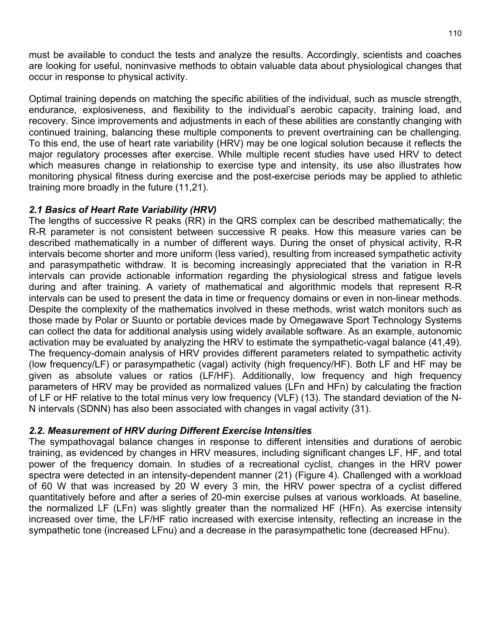must be available to conduct the tests and analyze the results. Accordingly, scientists and coaches are looking for useful, noninvasive methods to obtain valuable data about physiological changes that occur in response to physical activity.

Optimal training depends on matching the specific abilities of the individual, such as muscle strength, endurance, explosiveness, and flexibility to the individual's aerobic capacity, training load, and recovery. Since improvements and adjustments in each of these abilities are constantly changing with continued training, balancing these multiple components to prevent overtraining can be challenging. To this end, the use of heart rate variability (HRV) may be one logical solution because it reflects the major regulatory processes after exercise. While multiple recent studies have used HRV to detect which measures change in relationship to exercise type and intensity, its use also illustrates how monitoring physical fitness during exercise and the post-exercise periods may be applied to athletic training more broadly in the future (11,21).

### *2.1 Basics of Heart Rate Variability (HRV)*

The lengths of successive R peaks (RR) in the QRS complex can be described mathematically; the R-R parameter is not consistent between successive R peaks. How this measure varies can be described mathematically in a number of different ways. During the onset of physical activity, R-R intervals become shorter and more uniform (less varied), resulting from increased sympathetic activity and parasympathetic withdraw. It is becoming increasingly appreciated that the variation in R-R intervals can provide actionable information regarding the physiological stress and fatigue levels during and after training. A variety of mathematical and algorithmic models that represent R-R intervals can be used to present the data in time or frequency domains or even in non-linear methods. Despite the complexity of the mathematics involved in these methods, wrist watch monitors such as those made by Polar or Suunto or portable devices made by Omegawave Sport Technology Systems can collect the data for additional analysis using widely available software. As an example, autonomic activation may be evaluated by analyzing the HRV to estimate the sympathetic-vagal balance (41,49). The frequency-domain analysis of HRV provides different parameters related to sympathetic activity (low frequency/LF) or parasympathetic (vagal) activity (high frequency/HF). Both LF and HF may be given as absolute values or ratios (LF/HF). Additionally, low frequency and high frequency parameters of HRV may be provided as normalized values (LFn and HFn) by calculating the fraction of LF or HF relative to the total minus very low frequency (VLF) (13). The standard deviation of the N-N intervals (SDNN) has also been associated with changes in vagal activity (31).

### *2.2. Measurement of HRV during Different Exercise Intensities*

The sympathovagal balance changes in response to different intensities and durations of aerobic training, as evidenced by changes in HRV measures, including significant changes LF, HF, and total power of the frequency domain. In studies of a recreational cyclist, changes in the HRV power spectra were detected in an intensity-dependent manner (21) (Figure 4). Challenged with a workload of 60 W that was increased by 20 W every 3 min, the HRV power spectra of a cyclist differed quantitatively before and after a series of 20-min exercise pulses at various workloads. At baseline, the normalized LF (LFn) was slightly greater than the normalized HF (HFn). As exercise intensity increased over time, the LF/HF ratio increased with exercise intensity, reflecting an increase in the sympathetic tone (increased LFnu) and a decrease in the parasympathetic tone (decreased HFnu).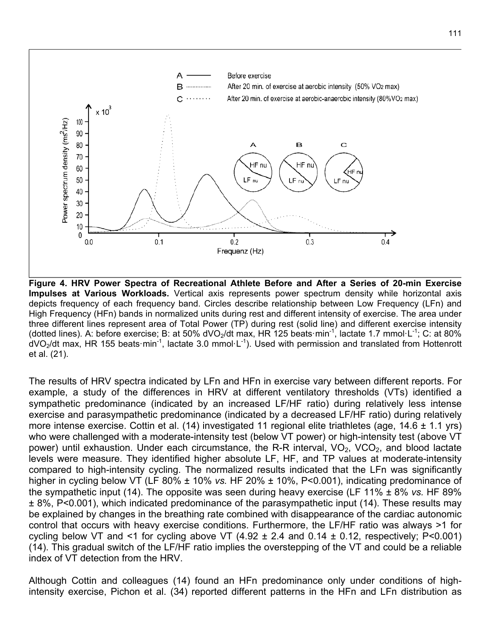

**Figure 4. HRV Power Spectra of Recreational Athlete Before and After a Series of 20-min Exercise Impulses at Various Workloads.** Vertical axis represents power spectrum density while horizontal axis depicts frequency of each frequency band. Circles describe relationship between Low Frequency (LFn) and High Frequency (HFn) bands in normalized units during rest and different intensity of exercise. The area under three different lines represent area of Total Power (TP) during rest (solid line) and different exercise intensity (dotted lines). A: before exercise; B: at 50% dVO<sub>2</sub>/dt max, HR 125 beats·min<sup>-1</sup>, lactate 1.7 mmol·L<sup>-1</sup>; C: at 80%  $d$ VO<sub>2</sub>/dt max, HR 155 beats·min<sup>-1</sup>, lactate 3.0 mmol·L<sup>-1</sup>). Used with permission and translated from Hottenrott et al. (21).

The results of HRV spectra indicated by LFn and HFn in exercise vary between different reports. For example, a study of the differences in HRV at different ventilatory thresholds (VTs) identified a sympathetic predominance (indicated by an increased LF/HF ratio) during relatively less intense exercise and parasympathetic predominance (indicated by a decreased LF/HF ratio) during relatively more intense exercise. Cottin et al. (14) investigated 11 regional elite triathletes (age, 14.6 ± 1.1 yrs) who were challenged with a moderate-intensity test (below VT power) or high-intensity test (above VT power) until exhaustion. Under each circumstance, the R-R interval,  $VO<sub>2</sub>$ ,  $VCO<sub>2</sub>$ , and blood lactate levels were measure. They identified higher absolute LF, HF, and TP values at moderate-intensity compared to high-intensity cycling. The normalized results indicated that the LFn was significantly higher in cycling below VT (LF 80% ± 10% *vs.* HF 20% ± 10%, P<0.001), indicating predominance of the sympathetic input (14). The opposite was seen during heavy exercise (LF 11% ± 8% *vs.* HF 89% ± 8%, P<0.001), which indicated predominance of the parasympathetic input (14). These results may be explained by changes in the breathing rate combined with disappearance of the cardiac autonomic control that occurs with heavy exercise conditions. Furthermore, the LF/HF ratio was always >1 for cycling below VT and <1 for cycling above VT  $(4.92 \pm 2.4$  and  $0.14 \pm 0.12$ , respectively; P<0.001) (14). This gradual switch of the LF/HF ratio implies the overstepping of the VT and could be a reliable index of VT detection from the HRV.

Although Cottin and colleagues (14) found an HFn predominance only under conditions of highintensity exercise, Pichon et al. (34) reported different patterns in the HFn and LFn distribution as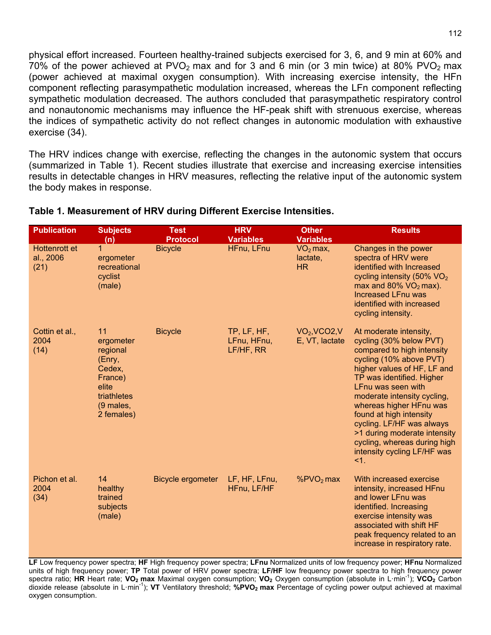physical effort increased. Fourteen healthy-trained subjects exercised for 3, 6, and 9 min at 60% and 70% of the power achieved at PVO<sub>2</sub> max and for 3 and 6 min (or 3 min twice) at 80% PVO<sub>2</sub> max (power achieved at maximal oxygen consumption). With increasing exercise intensity, the HFn component reflecting parasympathetic modulation increased, whereas the LFn component reflecting sympathetic modulation decreased. The authors concluded that parasympathetic respiratory control and nonautonomic mechanisms may influence the HF-peak shift with strenuous exercise, whereas the indices of sympathetic activity do not reflect changes in autonomic modulation with exhaustive exercise (34).

The HRV indices change with exercise, reflecting the changes in the autonomic system that occurs (summarized in Table 1). Recent studies illustrate that exercise and increasing exercise intensities results in detectable changes in HRV measures, reflecting the relative input of the autonomic system the body makes in response.

| <b>Publication</b>                 | <b>Subjects</b><br>(n)                                                                                        | <b>Test</b><br><b>Protocol</b> | <b>HRV</b><br><b>Variables</b>          | <b>Other</b><br><b>Variables</b>                         | <b>Results</b>                                                                                                                                                                                                                                                                                                                                                                                                          |
|------------------------------------|---------------------------------------------------------------------------------------------------------------|--------------------------------|-----------------------------------------|----------------------------------------------------------|-------------------------------------------------------------------------------------------------------------------------------------------------------------------------------------------------------------------------------------------------------------------------------------------------------------------------------------------------------------------------------------------------------------------------|
| Hottenrott et<br>al., 2006<br>(21) | 1<br>ergometer<br>recreational<br>cyclist<br>(male)                                                           | <b>Bicycle</b>                 | HFnu, LFnu                              | $VO2$ max,<br>lactate,<br>HR                             | Changes in the power<br>spectra of HRV were<br>identified with Increased<br>cycling intensity (50% $VO2$<br>max and $80\%$ VO <sub>2</sub> max).<br><b>Increased LFnu was</b><br>identified with increased<br>cycling intensity.                                                                                                                                                                                        |
| Cottin et al.,<br>2004<br>(14)     | 11<br>ergometer<br>regional<br>(Enry,<br>Cedex,<br>France)<br>elite<br>triathletes<br>(9 males,<br>2 females) | <b>Bicycle</b>                 | TP, LF, HF,<br>LFnu, HFnu,<br>LF/HF, RR | VO <sub>2</sub> , VCO <sub>2</sub> , V<br>E, VT, lactate | At moderate intensity,<br>cycling (30% below PVT)<br>compared to high intensity<br>cycling (10% above PVT)<br>higher values of HF, LF and<br>TP was identified. Higher<br>LFnu was seen with<br>moderate intensity cycling,<br>whereas higher HFnu was<br>found at high intensity<br>cycling. LF/HF was always<br>>1 during moderate intensity<br>cycling, whereas during high<br>intensity cycling LF/HF was<br>$<1$ . |
| Pichon et al.<br>2004<br>(34)      | 14<br>healthy<br>trained<br>subjects<br>(male)                                                                | <b>Bicycle ergometer</b>       | LF, HF, LFnu,<br>HFnu, LF/HF            | $%PVO2$ max                                              | With increased exercise<br>intensity, increased HFnu<br>and lower LFnu was<br>identified. Increasing<br>exercise intensity was<br>associated with shift HF<br>peak frequency related to an<br>increase in respiratory rate.                                                                                                                                                                                             |

#### **Table 1. Measurement of HRV during Different Exercise Intensities.**

**LF** Low frequency power spectra; **HF** High frequency power spectra; **LFnu** Normalized units of low frequency power; **HFnu** Normalized units of high frequency power; **TP** Total power of HRV power spectra; **LF/HF** low frequency power spectra to high frequency power spectra ratio; HR Heart rate; VO<sub>2</sub> max Maximal oxygen consumption; VO<sub>2</sub> Oxygen consumption (absolute in L·min<sup>-1</sup>); VCO<sub>2</sub> Carbon dioxide release (absolute in L·min-1 ); **VT** Ventilatory threshold; **%PVO2 max** Percentage of cycling power output achieved at maximal oxygen consumption.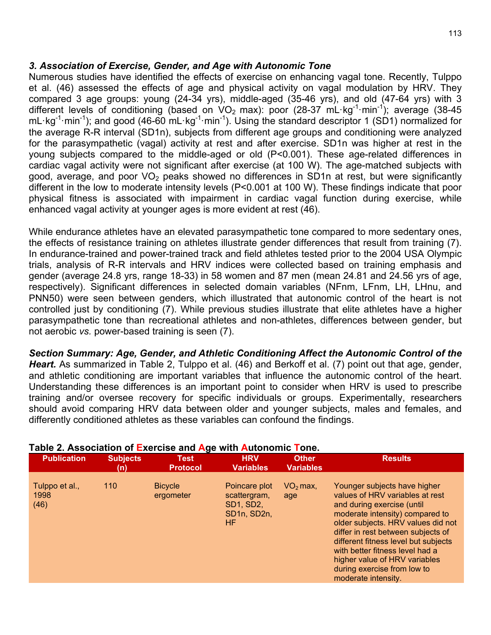#### *3. Association of Exercise, Gender, and Age with Autonomic Tone*

Numerous studies have identified the effects of exercise on enhancing vagal tone. Recently, Tulppo et al. (46) assessed the effects of age and physical activity on vagal modulation by HRV. They compared 3 age groups: young (24-34 yrs), middle-aged (35-46 yrs), and old (47-64 yrs) with 3 different levels of conditioning (based on  $VO<sub>2</sub>$  max): poor (28-37 mL·kg<sup>-1</sup>·min<sup>-1</sup>); average (38-45 mL·kg<sup>-1</sup>·min<sup>-1</sup>); and good (46-60 mL·kg<sup>-1</sup>·min<sup>-1</sup>). Using the standard descriptor 1 (SD1) normalized for the average R-R interval (SD1n), subjects from different age groups and conditioning were analyzed for the parasympathetic (vagal) activity at rest and after exercise. SD1n was higher at rest in the young subjects compared to the middle-aged or old (P<0.001). These age-related differences in cardiac vagal activity were not significant after exercise (at 100 W). The age-matched subjects with good, average, and poor  $VO<sub>2</sub>$  peaks showed no differences in SD1n at rest, but were significantly different in the low to moderate intensity levels (P<0.001 at 100 W). These findings indicate that poor physical fitness is associated with impairment in cardiac vagal function during exercise, while enhanced vagal activity at younger ages is more evident at rest (46).

While endurance athletes have an elevated parasympathetic tone compared to more sedentary ones, the effects of resistance training on athletes illustrate gender differences that result from training (7). In endurance-trained and power-trained track and field athletes tested prior to the 2004 USA Olympic trials, analysis of R-R intervals and HRV indices were collected based on training emphasis and gender (average 24.8 yrs, range 18-33) in 58 women and 87 men (mean 24.81 and 24.56 yrs of age, respectively). Significant differences in selected domain variables (NFnm, LFnm, LH, LHnu, and PNN50) were seen between genders, which illustrated that autonomic control of the heart is not controlled just by conditioning (7). While previous studies illustrate that elite athletes have a higher parasympathetic tone than recreational athletes and non-athletes, differences between gender, but not aerobic *vs.* power-based training is seen (7).

*Section Summary: Age, Gender, and Athletic Conditioning Affect the Autonomic Control of the*  Heart. As summarized in Table 2, Tulppo et al. (46) and Berkoff et al. (7) point out that age, gender, and athletic conditioning are important variables that influence the autonomic control of the heart. Understanding these differences is an important point to consider when HRV is used to prescribe training and/or oversee recovery for specific individuals or groups. Experimentally, researchers should avoid comparing HRV data between older and younger subjects, males and females, and differently conditioned athletes as these variables can confound the findings.

| 110<br>Poincare plot<br>Tulppo et al.,<br><b>Bicycle</b><br>$VO2$ max,<br>scattergram,<br>ergometer<br>1998<br>age<br>(46)<br><b>SD1, SD2,</b><br>SD1n, SD2n,<br><b>HF</b> | <b>Results</b>                                                                                                                                                                                                                                                                                                                                          |
|----------------------------------------------------------------------------------------------------------------------------------------------------------------------------|---------------------------------------------------------------------------------------------------------------------------------------------------------------------------------------------------------------------------------------------------------------------------------------------------------------------------------------------------------|
| moderate intensity.                                                                                                                                                        | Younger subjects have higher<br>values of HRV variables at rest<br>and during exercise (until<br>moderate intensity) compared to<br>older subjects. HRV values did not<br>differ in rest between subjects of<br>different fitness level but subjects<br>with better fitness level had a<br>higher value of HRV variables<br>during exercise from low to |

#### **Table 2. Association of Exercise and Age with Autonomic Tone.**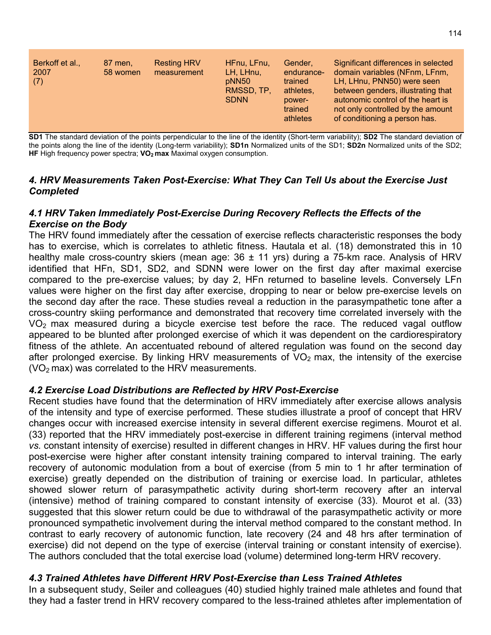| Berkoff et al.,<br>2007<br>(7) | 87 men,<br>58 women | <b>Resting HRV</b><br>measurement | HFnu, LFnu,<br>LH, LHnu,<br>pNN50<br>RMSSD, TP.<br><b>SDNN</b> | Gender.<br>endurance-<br>trained<br>athletes,<br>power-<br>trained<br>athletes | Significant differences in selected<br>domain variables (NFnm, LFnm,<br>LH, LHnu, PNN50) were seen<br>between genders, illustrating that<br>autonomic control of the heart is<br>not only controlled by the amount<br>of conditioning a person has. |
|--------------------------------|---------------------|-----------------------------------|----------------------------------------------------------------|--------------------------------------------------------------------------------|-----------------------------------------------------------------------------------------------------------------------------------------------------------------------------------------------------------------------------------------------------|
|--------------------------------|---------------------|-----------------------------------|----------------------------------------------------------------|--------------------------------------------------------------------------------|-----------------------------------------------------------------------------------------------------------------------------------------------------------------------------------------------------------------------------------------------------|

**SD1** The standard deviation of the points perpendicular to the line of the identity (Short-term variability); **SD2** The standard deviation of the points along the line of the identity (Long-term variability); **SD1n** Normalized units of the SD1; **SD2n** Normalized units of the SD2; HF High frequency power spectra; VO<sub>2</sub> max Maximal oxygen consumption.

#### *4. HRV Measurements Taken Post-Exercise: What They Can Tell Us about the Exercise Just Completed*

#### *4.1 HRV Taken Immediately Post-Exercise During Recovery Reflects the Effects of the Exercise on the Body*

The HRV found immediately after the cessation of exercise reflects characteristic responses the body has to exercise, which is correlates to athletic fitness. Hautala et al. (18) demonstrated this in 10 healthy male cross-country skiers (mean age:  $36 \pm 11$  yrs) during a 75-km race. Analysis of HRV identified that HFn, SD1, SD2, and SDNN were lower on the first day after maximal exercise compared to the pre-exercise values; by day 2, HFn returned to baseline levels. Conversely LFn values were higher on the first day after exercise, dropping to near or below pre-exercise levels on the second day after the race. These studies reveal a reduction in the parasympathetic tone after a cross-country skiing performance and demonstrated that recovery time correlated inversely with the  $VO<sub>2</sub>$  max measured during a bicycle exercise test before the race. The reduced vagal outflow appeared to be blunted after prolonged exercise of which it was dependent on the cardiorespiratory fitness of the athlete. An accentuated rebound of altered regulation was found on the second day after prolonged exercise. By linking HRV measurements of  $VO<sub>2</sub>$  max, the intensity of the exercise  $(VO<sub>2</sub>$  max) was correlated to the HRV measurements.

### *4.2 Exercise Load Distributions are Reflected by HRV Post-Exercise*

Recent studies have found that the determination of HRV immediately after exercise allows analysis of the intensity and type of exercise performed. These studies illustrate a proof of concept that HRV changes occur with increased exercise intensity in several different exercise regimens. Mourot et al. (33) reported that the HRV immediately post-exercise in different training regimens (interval method *vs.* constant intensity of exercise) resulted in different changes in HRV. HF values during the first hour post-exercise were higher after constant intensity training compared to interval training. The early recovery of autonomic modulation from a bout of exercise (from 5 min to 1 hr after termination of exercise) greatly depended on the distribution of training or exercise load. In particular, athletes showed slower return of parasympathetic activity during short-term recovery after an interval (intensive) method of training compared to constant intensity of exercise (33). Mourot et al. (33) suggested that this slower return could be due to withdrawal of the parasympathetic activity or more pronounced sympathetic involvement during the interval method compared to the constant method. In contrast to early recovery of autonomic function, late recovery (24 and 48 hrs after termination of exercise) did not depend on the type of exercise (interval training or constant intensity of exercise). The authors concluded that the total exercise load (volume) determined long-term HRV recovery.

### *4.3 Trained Athletes have Different HRV Post-Exercise than Less Trained Athletes*

In a subsequent study, Seiler and colleagues (40) studied highly trained male athletes and found that they had a faster trend in HRV recovery compared to the less-trained athletes after implementation of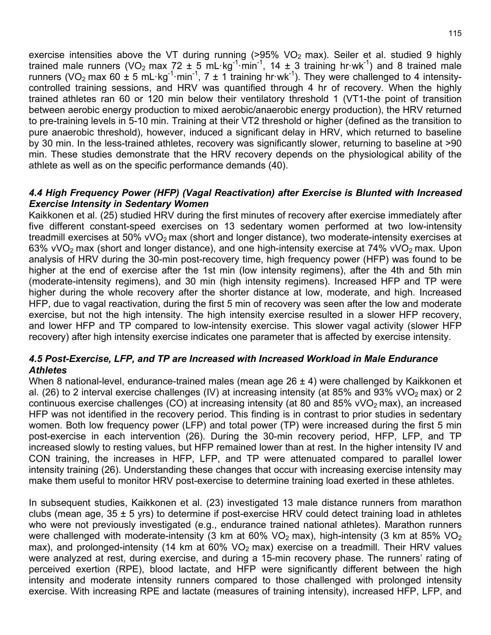exercise intensities above the VT during running  $(>95\%$  VO<sub>2</sub> max). Seiler et al. studied 9 highly trained male runners (VO<sub>2</sub> max 72 ± 5 mL·kg<sup>-1</sup>·min<sup>-1</sup>, 14 ± 3 training hr·wk<sup>-1</sup>) and 8 trained male runners (VO<sub>2</sub> max 60  $\pm$  5 mL·kg<sup>-1</sup>·min<sup>-1</sup>, 7  $\pm$  1 training hr·wk<sup>-1</sup>). They were challenged to 4 intensitycontrolled training sessions, and HRV was quantified through 4 hr of recovery. When the highly trained athletes ran 60 or 120 min below their ventilatory threshold 1 (VT1-the point of transition between aerobic energy production to mixed aerobic/anaerobic energy production), the HRV returned to pre-training levels in 5-10 min. Training at their VT2 threshold or higher (defined as the transition to pure anaerobic threshold), however, induced a significant delay in HRV, which returned to baseline by 30 min. In the less-trained athletes, recovery was significantly slower, returning to baseline at >90 min. These studies demonstrate that the HRV recovery depends on the physiological ability of the athlete as well as on the specific performance demands (40).

#### *4.4 High Frequency Power (HFP) (Vagal Reactivation) after Exercise is Blunted with Increased Exercise Intensity in Sedentary Women*

Kaikkonen et al. (25) studied HRV during the first minutes of recovery after exercise immediately after five different constant-speed exercises on 13 sedentary women performed at two low-intensity treadmill exercises at 50%  $vVO<sub>2</sub>$  max (short and longer distance), two moderate-intensity exercises at 63% vVO<sub>2</sub> max (short and longer distance), and one high-intensity exercise at 74% vVO<sub>2</sub> max. Upon analysis of HRV during the 30-min post-recovery time, high frequency power (HFP) was found to be higher at the end of exercise after the 1st min (low intensity regimens), after the 4th and 5th min (moderate-intensity regimens), and 30 min (high intensity regimens). Increased HFP and TP were higher during the whole recovery after the shorter distance at low, moderate, and high. Increased HFP, due to vagal reactivation, during the first 5 min of recovery was seen after the low and moderate exercise, but not the high intensity. The high intensity exercise resulted in a slower HFP recovery, and lower HFP and TP compared to low-intensity exercise. This slower vagal activity (slower HFP recovery) after high intensity exercise indicates one parameter that is affected by exercise intensity.

#### *4.5 Post-Exercise, LFP, and TP are Increased with Increased Workload in Male Endurance Athletes*

When 8 national-level, endurance-trained males (mean age 26 ± 4) were challenged by Kaikkonen et al. (26) to 2 interval exercise challenges (IV) at increasing intensity (at 85% and 93% vVO<sub>2</sub> max) or 2 continuous exercise challenges (CO) at increasing intensity (at 80 and 85% vVO<sub>2</sub> max), an increased HFP was not identified in the recovery period. This finding is in contrast to prior studies in sedentary women. Both low frequency power (LFP) and total power (TP) were increased during the first 5 min post-exercise in each intervention (26). During the 30-min recovery period, HFP, LFP, and TP increased slowly to resting values, but HFP remained lower than at rest. In the higher intensity IV and CON training, the increases in HFP, LFP, and TP were attenuated compared to parallel lower intensity training (26). Understanding these changes that occur with increasing exercise intensity may make them useful to monitor HRV post-exercise to determine training load exerted in these athletes.

In subsequent studies, Kaikkonen et al. (23) investigated 13 male distance runners from marathon clubs (mean age,  $35 \pm 5$  yrs) to determine if post-exercise HRV could detect training load in athletes who were not previously investigated (e.g., endurance trained national athletes). Marathon runners were challenged with moderate-intensity (3 km at 60% VO<sub>2</sub> max), high-intensity (3 km at 85% VO<sub>2</sub> max), and prolonged-intensity (14 km at  $60\%$  VO<sub>2</sub> max) exercise on a treadmill. Their HRV values were analyzed at rest, during exercise, and during a 15-min recovery phase. The runners' rating of perceived exertion (RPE), blood lactate, and HFP were significantly different between the high intensity and moderate intensity runners compared to those challenged with prolonged intensity exercise. With increasing RPE and lactate (measures of training intensity), increased HFP, LFP, and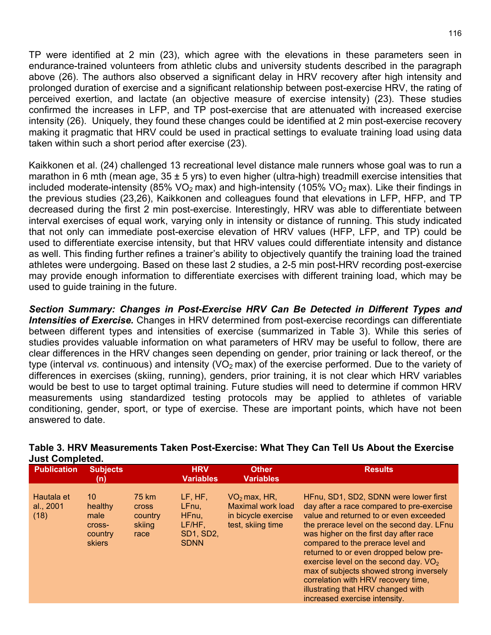TP were identified at 2 min (23), which agree with the elevations in these parameters seen in endurance-trained volunteers from athletic clubs and university students described in the paragraph above (26). The authors also observed a significant delay in HRV recovery after high intensity and prolonged duration of exercise and a significant relationship between post-exercise HRV, the rating of perceived exertion, and lactate (an objective measure of exercise intensity) (23). These studies confirmed the increases in LFP, and TP post-exercise that are attenuated with increased exercise intensity (26). Uniquely, they found these changes could be identified at 2 min post-exercise recovery making it pragmatic that HRV could be used in practical settings to evaluate training load using data taken within such a short period after exercise (23).

Kaikkonen et al. (24) challenged 13 recreational level distance male runners whose goal was to run a marathon in 6 mth (mean age,  $35 \pm 5$  yrs) to even higher (ultra-high) treadmill exercise intensities that included moderate-intensity (85% VO<sub>2</sub> max) and high-intensity (105% VO<sub>2</sub> max). Like their findings in the previous studies (23,26), Kaikkonen and colleagues found that elevations in LFP, HFP, and TP decreased during the first 2 min post-exercise. Interestingly, HRV was able to differentiate between interval exercises of equal work, varying only in intensity or distance of running. This study indicated that not only can immediate post-exercise elevation of HRV values (HFP, LFP, and TP) could be used to differentiate exercise intensity, but that HRV values could differentiate intensity and distance as well. This finding further refines a trainer's ability to objectively quantify the training load the trained athletes were undergoing. Based on these last 2 studies, a 2-5 min post-HRV recording post-exercise may provide enough information to differentiate exercises with different training load, which may be used to guide training in the future.

*Section Summary: Changes in Post-Exercise HRV Can Be Detected in Different Types and Intensities of Exercise.* Changes in HRV determined from post-exercise recordings can differentiate between different types and intensities of exercise (summarized in Table 3). While this series of studies provides valuable information on what parameters of HRV may be useful to follow, there are clear differences in the HRV changes seen depending on gender, prior training or lack thereof, or the type (interval *vs.* continuous) and intensity (VO<sub>2</sub> max) of the exercise performed. Due to the variety of differences in exercises (skiing, running), genders, prior training, it is not clear which HRV variables would be best to use to target optimal training. Future studies will need to determine if common HRV measurements using standardized testing protocols may be applied to athletes of variable conditioning, gender, sport, or type of exercise. These are important points, which have not been answered to date.

| <b>Publication</b>              | <b>Subjects</b><br>(n)                               |                                                    | <b>HRV</b><br><b>Variables</b>                                            | <b>Other</b><br><b>Variables</b>                                                       | <b>Results</b>                                                                                                                                                                                                                                                                                                                                                                                                                                                                                         |
|---------------------------------|------------------------------------------------------|----------------------------------------------------|---------------------------------------------------------------------------|----------------------------------------------------------------------------------------|--------------------------------------------------------------------------------------------------------------------------------------------------------------------------------------------------------------------------------------------------------------------------------------------------------------------------------------------------------------------------------------------------------------------------------------------------------------------------------------------------------|
| Hautala et<br>al., 2001<br>(18) | 10<br>healthy<br>male<br>Cross-<br>country<br>skiers | 75 km<br><b>Cross</b><br>country<br>skiing<br>race | LF, HF,<br>LFnu,<br>HFnu,<br>$LF/HF$ ,<br><b>SD1, SD2,</b><br><b>SDNN</b> | $VO2$ max, HR,<br><b>Maximal work load</b><br>in bicycle exercise<br>test, skiing time | HFnu, SD1, SD2, SDNN were lower first<br>day after a race compared to pre-exercise<br>value and returned to or even exceeded<br>the prerace level on the second day. LFnu<br>was higher on the first day after race<br>compared to the prerace level and<br>returned to or even dropped below pre-<br>exercise level on the second day. $VO2$<br>max of subjects showed strong inversely<br>correlation with HRV recovery time,<br>illustrating that HRV changed with<br>increased exercise intensity. |

#### **Table 3. HRV Measurements Taken Post-Exercise: What They Can Tell Us About the Exercise Just Completed.**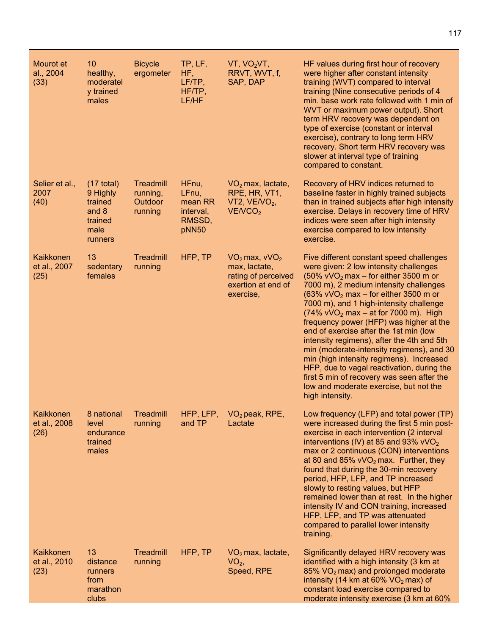| Mourot et<br>al., 2004<br>(33)           | 10 <sup>°</sup><br>healthy,<br>moderatel<br>y trained<br>males                     | <b>Bicycle</b><br>ergometer                 | TP, LF,<br>HF,<br>LF/TP,<br>HF/TP,<br>LF/HF               | VT, VO <sub>2</sub> VT,<br>RRVT, WVT, f,<br>SAP, DAP                                         | HF values during first hour of recovery<br>were higher after constant intensity<br>training (WVT) compared to interval<br>training (Nine consecutive periods of 4<br>min. base work rate followed with 1 min of<br>WVT or maximum power output). Short<br>term HRV recovery was dependent on<br>type of exercise (constant or interval<br>exercise), contrary to long term HRV<br>recovery. Short term HRV recovery was<br>slower at interval type of training<br>compared to constant.                                                                                                                                                                                                                                                                       |
|------------------------------------------|------------------------------------------------------------------------------------|---------------------------------------------|-----------------------------------------------------------|----------------------------------------------------------------------------------------------|---------------------------------------------------------------------------------------------------------------------------------------------------------------------------------------------------------------------------------------------------------------------------------------------------------------------------------------------------------------------------------------------------------------------------------------------------------------------------------------------------------------------------------------------------------------------------------------------------------------------------------------------------------------------------------------------------------------------------------------------------------------|
| Selier et al.,<br>2007<br>(40)           | $(17 \text{ total})$<br>9 Highly<br>trained<br>and 8<br>trained<br>male<br>runners | Treadmill<br>running,<br>Outdoor<br>running | HFnu,<br>LFnu,<br>mean RR<br>interval,<br>RMSSD,<br>pNN50 | $VO2$ max, lactate,<br>RPE, HR, VT1,<br>VT2, $VENO2$ ,<br>VENCO <sub>2</sub>                 | Recovery of HRV indices returned to<br>baseline faster in highly trained subjects<br>than in trained subjects after high intensity<br>exercise. Delays in recovery time of HRV<br>indices were seen after high intensity<br>exercise compared to low intensity<br>exercise.                                                                                                                                                                                                                                                                                                                                                                                                                                                                                   |
| Kaikkonen<br>et al., 2007<br>(25)        | 13<br>sedentary<br>females                                                         | Treadmill<br>running                        | HFP, TP                                                   | $VO2$ max, $VVO2$<br>max, lactate,<br>rating of perceived<br>exertion at end of<br>exercise, | Five different constant speed challenges<br>were given: 2 low intensity challenges<br>$(50\% \, \text{vVO}_2 \, \text{max} - \text{for either } 3500 \, \text{m or }$<br>7000 m), 2 medium intensity challenges<br>$(63\%$ vVO <sub>2</sub> max – for either 3500 m or<br>7000 m), and 1 high-intensity challenge<br>$(74\%$ vVO <sub>2</sub> max – at for 7000 m). High<br>frequency power (HFP) was higher at the<br>end of exercise after the 1st min (low<br>intensity regimens), after the 4th and 5th<br>min (moderate-intensity regimens), and 30<br>min (high intensity regimens). Increased<br>HFP, due to vagal reactivation, during the<br>first 5 min of recovery was seen after the<br>low and moderate exercise, but not the<br>high intensity. |
| <b>Kaikkonen</b><br>et al., 2008<br>(26) | 8 national<br>level<br>endurance<br>trained<br>males                               | Treadmill<br>running                        | HFP, LFP,<br>and TP                                       | $VO2$ peak, RPE,<br>Lactate                                                                  | Low frequency (LFP) and total power (TP)<br>were increased during the first 5 min post-<br>exercise in each intervention (2 interval<br>interventions (IV) at 85 and 93% $vVO2$<br>max or 2 continuous (CON) interventions<br>at 80 and 85% $vVO2$ max. Further, they<br>found that during the 30-min recovery<br>period, HFP, LFP, and TP increased<br>slowly to resting values, but HFP<br>remained lower than at rest. In the higher<br>intensity IV and CON training, increased<br>HFP, LFP, and TP was attenuated<br>compared to parallel lower intensity<br>training.                                                                                                                                                                                   |
| Kaikkonen<br>et al., 2010<br>(23)        | 13<br>distance<br>runners<br>from<br>marathon<br>clubs                             | Treadmill<br>running                        | HFP, TP                                                   | $VO2$ max, lactate,<br>$VO2$ ,<br>Speed, RPE                                                 | Significantly delayed HRV recovery was<br>identified with a high intensity (3 km at<br>$85\%$ VO <sub>2</sub> max) and prolonged moderate<br>intensity (14 km at $60\%$ VO <sub>2</sub> max) of<br>constant load exercise compared to<br>moderate intensity exercise (3 km at 60%                                                                                                                                                                                                                                                                                                                                                                                                                                                                             |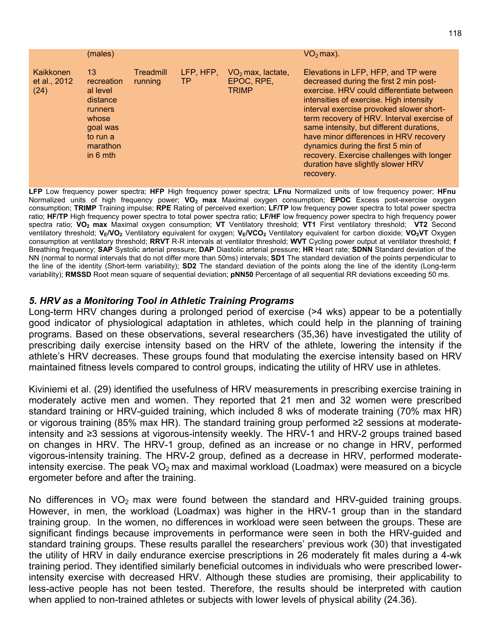|                                   | (males)                                                                                                        |                      |                        |                                                   | $VO2$ max).                                                                                                                                                                                                                                                                                                                                                                                                                                                                                |
|-----------------------------------|----------------------------------------------------------------------------------------------------------------|----------------------|------------------------|---------------------------------------------------|--------------------------------------------------------------------------------------------------------------------------------------------------------------------------------------------------------------------------------------------------------------------------------------------------------------------------------------------------------------------------------------------------------------------------------------------------------------------------------------------|
| Kaikkonen<br>et al., 2012<br>(24) | 13<br>recreation<br>al level<br>distance<br>runners<br>whose<br>goal was<br>to run a<br>marathon<br>in $6$ mth | Treadmill<br>running | LFP, HFP,<br><b>TP</b> | $VO2$ max, lactate,<br>EPOC, RPE,<br><b>TRIMP</b> | Elevations in LFP, HFP, and TP were<br>decreased during the first 2 min post-<br>exercise. HRV could differentiate between<br>intensities of exercise. High intensity<br>interval exercise provoked slower short-<br>term recovery of HRV. Interval exercise of<br>same intensity, but different durations,<br>have minor differences in HRV recovery<br>dynamics during the first 5 min of<br>recovery. Exercise challenges with longer<br>duration have slightly slower HRV<br>recovery. |

**LFP** Low frequency power spectra; **HFP** High frequency power spectra; **LFnu** Normalized units of low frequency power; **HFnu** Normalized units of high frequency power; **VO2 max** Maximal oxygen consumption; **EPOC** Excess post-exercise oxygen consumption; **TRIMP** Training impulse; **RPE** Rating of perceived exertion; **LF/TP** low frequency power spectra to total power spectra ratio; **HF/TP** High frequency power spectra to total power spectra ratio; **LF/HF** low frequency power spectra to high frequency power spectra ratio; **VO2 max** Maximal oxygen consumption; **VT** Ventilatory threshold; **VT1** First ventilatory threshold; **VT2** Second ventilatory threshold; VE/VO<sub>2</sub> Ventilatory equivalent for oxygen; VE/VCO<sub>2</sub> Ventilatory equivalent for carbon dioxide; VO<sub>2</sub>VT Oxygen consumption at ventilatory threshold; **RRVT** R-R intervals at ventilator threshold; **WVT** Cycling power output at ventilator threshold; **f**  Breathing frequency; **SAP** Systolic arterial pressure; **DAP** Diastolic arterial pressure; **HR** Heart rate; **SDNN** Standard deviation of the NN (normal to normal intervals that do not differ more than 50ms) intervals; **SD1** The standard deviation of the points perpendicular to the line of the identity (Short-term variability); **SD2** The standard deviation of the points along the line of the identity (Long-term variability); **RMSSD** Root mean square of sequential deviation; **pNN50** Percentage of all sequential RR deviations exceeding 50 ms.

#### *5. HRV as a Monitoring Tool in Athletic Training Programs*

Long-term HRV changes during a prolonged period of exercise (>4 wks) appear to be a potentially good indicator of physiological adaptation in athletes, which could help in the planning of training programs. Based on these observations, several researchers (35,36) have investigated the utility of prescribing daily exercise intensity based on the HRV of the athlete, lowering the intensity if the athlete's HRV decreases. These groups found that modulating the exercise intensity based on HRV maintained fitness levels compared to control groups, indicating the utility of HRV use in athletes.

Kiviniemi et al. (29) identified the usefulness of HRV measurements in prescribing exercise training in moderately active men and women. They reported that 21 men and 32 women were prescribed standard training or HRV-guided training, which included 8 wks of moderate training (70% max HR) or vigorous training (85% max HR). The standard training group performed ≥2 sessions at moderateintensity and ≥3 sessions at vigorous-intensity weekly. The HRV-1 and HRV-2 groups trained based on changes in HRV. The HRV-1 group, defined as an increase or no change in HRV, performed vigorous-intensity training. The HRV-2 group, defined as a decrease in HRV, performed moderateintensity exercise. The peak  $\text{VO}_2$  max and maximal workload (Loadmax) were measured on a bicycle ergometer before and after the training.

No differences in  $VO<sub>2</sub>$  max were found between the standard and HRV-quided training groups. However, in men, the workload (Loadmax) was higher in the HRV-1 group than in the standard training group. In the women, no differences in workload were seen between the groups. These are significant findings because improvements in performance were seen in both the HRV-guided and standard training groups. These results parallel the researchers' previous work (30) that investigated the utility of HRV in daily endurance exercise prescriptions in 26 moderately fit males during a 4-wk training period. They identified similarly beneficial outcomes in individuals who were prescribed lowerintensity exercise with decreased HRV. Although these studies are promising, their applicability to less-active people has not been tested. Therefore, the results should be interpreted with caution when applied to non-trained athletes or subjects with lower levels of physical ability (24.36).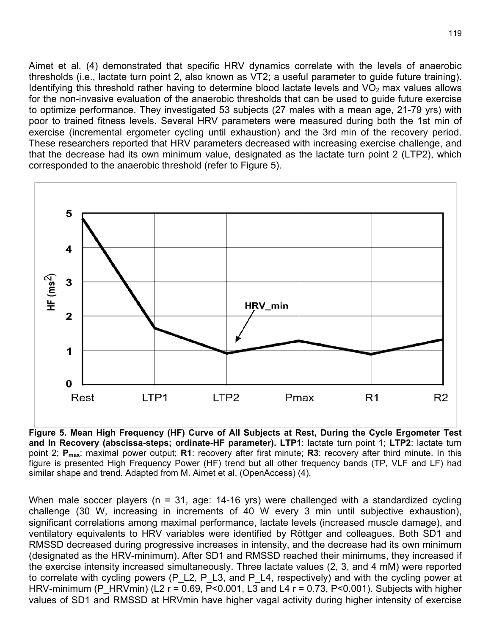Aimet et al. (4) demonstrated that specific HRV dynamics correlate with the levels of anaerobic thresholds (i.e., lactate turn point 2, also known as VT2; a useful parameter to guide future training). Identifying this threshold rather having to determine blood lactate levels and  $VO<sub>2</sub>$  max values allows for the non-invasive evaluation of the anaerobic thresholds that can be used to guide future exercise to optimize performance. They investigated 53 subjects (27 males with a mean age, 21-79 yrs) with poor to trained fitness levels. Several HRV parameters were measured during both the 1st min of exercise (incremental ergometer cycling until exhaustion) and the 3rd min of the recovery period. These researchers reported that HRV parameters decreased with increasing exercise challenge, and that the decrease had its own minimum value, designated as the lactate turn point 2 (LTP2), which corresponded to the anaerobic threshold (refer to Figure 5).



**Figure 5. Mean High Frequency (HF) Curve of All Subjects at Rest, During the Cycle Ergometer Test and In Recovery (abscissa-steps; ordinate-HF parameter). LTP1**: lactate turn point 1; **LTP2**: lactate turn point 2; **Pmax**: maximal power output; **R1**: recovery after first minute; **R3**: recovery after third minute. In this figure is presented High Frequency Power (HF) trend but all other frequency bands (TP, VLF and LF) had similar shape and trend. Adapted from M. Aimet et al. (OpenAccess) (4).

When male soccer players (n = 31, age: 14-16 yrs) were challenged with a standardized cycling challenge (30 W, increasing in increments of 40 W every 3 min until subjective exhaustion), significant correlations among maximal performance, lactate levels (increased muscle damage), and ventilatory equivalents to HRV variables were identified by Röttger and colleagues. Both SD1 and RMSSD decreased during progressive increases in intensity, and the decrease had its own minimum (designated as the HRV-minimum). After SD1 and RMSSD reached their minimums, they increased if the exercise intensity increased simultaneously. Three lactate values (2, 3, and 4 mM) were reported to correlate with cycling powers (P\_L2, P\_L3, and P\_L4, respectively) and with the cycling power at HRV-minimum (P HRVmin) (L2 r = 0.69, P<0.001, L3 and L4 r = 0.73, P<0.001). Subjects with higher values of SD1 and RMSSD at HRVmin have higher vagal activity during higher intensity of exercise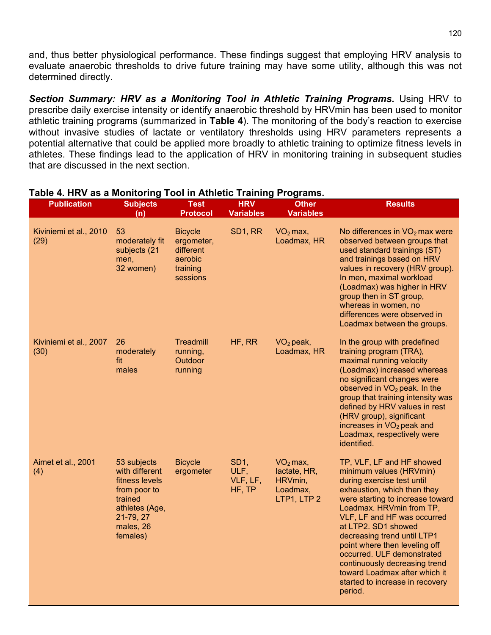and, thus better physiological performance. These findings suggest that employing HRV analysis to evaluate anaerobic thresholds to drive future training may have some utility, although this was not determined directly.

*Section Summary: HRV as a Monitoring Tool in Athletic Training Programs.* Using HRV to prescribe daily exercise intensity or identify anaerobic threshold by HRVmin has been used to monitor athletic training programs (summarized in **Table 4**). The monitoring of the body's reaction to exercise without invasive studies of lactate or ventilatory thresholds using HRV parameters represents a potential alternative that could be applied more broadly to athletic training to optimize fitness levels in athletes. These findings lead to the application of HRV in monitoring training in subsequent studies that are discussed in the next section.

| <b>Publication</b>             | <b>Subjects</b><br>(n)                                                                                                             | <b>Test</b><br><b>Protocol</b>                                               | <b>HRV</b><br><b>Variables</b>                | <b>Other</b><br><b>Variables</b>                                 | <b>Results</b>                                                                                                                                                                                                                                                                                                                                                                                                                                        |
|--------------------------------|------------------------------------------------------------------------------------------------------------------------------------|------------------------------------------------------------------------------|-----------------------------------------------|------------------------------------------------------------------|-------------------------------------------------------------------------------------------------------------------------------------------------------------------------------------------------------------------------------------------------------------------------------------------------------------------------------------------------------------------------------------------------------------------------------------------------------|
| Kiviniemi et al., 2010<br>(29) | 53<br>moderately fit<br>subjects (21<br>men,<br>32 women)                                                                          | <b>Bicycle</b><br>ergometer,<br>different<br>aerobic<br>training<br>sessions | SD1, RR                                       | $VO2$ max,<br>Loadmax, HR                                        | No differences in $VO2$ max were<br>observed between groups that<br>used standard trainings (ST)<br>and trainings based on HRV<br>values in recovery (HRV group).<br>In men, maximal workload<br>(Loadmax) was higher in HRV<br>group then in ST group,<br>whereas in women, no<br>differences were observed in<br>Loadmax between the groups.                                                                                                        |
| Kiviniemi et al., 2007<br>(30) | 26<br>moderately<br>fit<br>males                                                                                                   | Treadmill<br>running,<br>Outdoor<br>running                                  | HF, RR                                        | $VO2$ peak,<br>Loadmax, HR                                       | In the group with predefined<br>training program (TRA),<br>maximal running velocity<br>(Loadmax) increased whereas<br>no significant changes were<br>observed in $VO2$ peak. In the<br>group that training intensity was<br>defined by HRV values in rest<br>(HRV group), significant<br>increases in VO <sub>2</sub> peak and<br>Loadmax, respectively were<br>identified.                                                                           |
| Aimet et al., 2001<br>(4)      | 53 subjects<br>with different<br>fitness levels<br>from poor to<br>trained<br>athletes (Age,<br>21-79, 27<br>males, 26<br>females) | <b>Bicycle</b><br>ergometer                                                  | SD <sub>1</sub><br>ULF,<br>VLF, LF,<br>HF, TP | $VO2$ max,<br>lactate, HR,<br>HRVmin,<br>Loadmax,<br>LTP1, LTP 2 | TP, VLF, LF and HF showed<br>minimum values (HRVmin)<br>during exercise test until<br>exhaustion, which then they<br>were starting to increase toward<br>Loadmax. HRVmin from TP,<br>VLF, LF and HF was occurred<br>at LTP2. SD1 showed<br>decreasing trend until LTP1<br>point where then leveling off<br>occurred. ULF demonstrated<br>continuously decreasing trend<br>toward Loadmax after which it<br>started to increase in recovery<br>period. |

#### **Table 4. HRV as a Monitoring Tool in Athletic Training Programs.**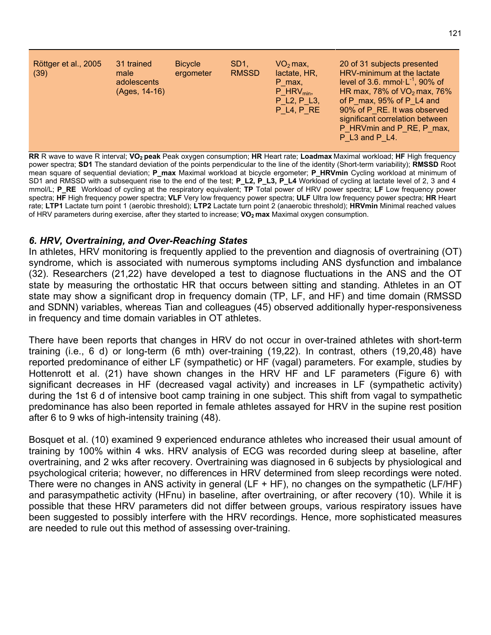| Röttger et al., 2005<br>(39) | 31 trained<br>male<br>adolescents<br>(Ages, 14-16) | <b>Bicycle</b><br>ergometer | SD <sub>1</sub><br><b>RMSSD</b> | $VO2$ max,<br>lactate, HR,<br>P max,<br>$P$ HRV <sub>min</sub> ,<br>P L <sub>2</sub> , P L <sub>3</sub> ,<br>P L4, P RE | 20 of 31 subjects presented<br>HRV-minimum at the lactate<br>level of 3.6. mmol $\cdot$ L <sup>-1</sup> , 90% of<br>HR max, 78% of $VO2$ max, 76%<br>of P max, $95\%$ of P L4 and<br>90% of P RE. It was observed<br>significant correlation between<br>P HRVmin and P RE, P max,<br>P L3 and P L4. |
|------------------------------|----------------------------------------------------|-----------------------------|---------------------------------|-------------------------------------------------------------------------------------------------------------------------|-----------------------------------------------------------------------------------------------------------------------------------------------------------------------------------------------------------------------------------------------------------------------------------------------------|
|------------------------------|----------------------------------------------------|-----------------------------|---------------------------------|-------------------------------------------------------------------------------------------------------------------------|-----------------------------------------------------------------------------------------------------------------------------------------------------------------------------------------------------------------------------------------------------------------------------------------------------|

**RR** R wave to wave R interval; **VO2 peak** Peak oxygen consumption; **HR** Heart rate; **Loadmax** Maximal workload; **HF** High frequency power spectra; **SD1** The standard deviation of the points perpendicular to the line of the identity (Short-term variability); **RMSSD** Root mean square of sequential deviation; **P\_max** Maximal workload at bicycle ergometer; **P\_HRVmin** Cycling workload at minimum of SD1 and RMSSD with a subsequent rise to the end of the test; **P\_L2, P\_L3, P\_L4** Workload of cycling at lactate level of 2, 3 and 4 mmol/L; **P\_RE** Workload of cycling at the respiratory equivalent; **TP** Total power of HRV power spectra; **LF** Low frequency power spectra; **HF** High frequency power spectra; **VLF** Very low frequency power spectra; **ULF** Ultra low frequency power spectra; **HR** Heart rate; **LTP1** Lactate turn point 1 (aerobic threshold); **LTP2** Lactate turn point 2 (anaerobic threshold); **HRVmin** Minimal reached values of HRV parameters during exercise, after they started to increase; VO<sub>2</sub> max Maximal oxygen consumption.

#### *6. HRV, Overtraining, and Over-Reaching States*

In athletes, HRV monitoring is frequently applied to the prevention and diagnosis of overtraining (OT) syndrome, which is associated with numerous symptoms including ANS dysfunction and imbalance (32). Researchers (21,22) have developed a test to diagnose fluctuations in the ANS and the OT state by measuring the orthostatic HR that occurs between sitting and standing. Athletes in an OT state may show a significant drop in frequency domain (TP, LF, and HF) and time domain (RMSSD and SDNN) variables, whereas Tian and colleagues (45) observed additionally hyper-responsiveness in frequency and time domain variables in OT athletes.

There have been reports that changes in HRV do not occur in over-trained athletes with short-term training (i.e., 6 d) or long-term (6 mth) over-training (19,22). In contrast, others (19,20,48) have reported predominance of either LF (sympathetic) or HF (vagal) parameters. For example, studies by Hottenrott et al. (21) have shown changes in the HRV HF and LF parameters (Figure 6) with significant decreases in HF (decreased vagal activity) and increases in LF (sympathetic activity) during the 1st 6 d of intensive boot camp training in one subject. This shift from vagal to sympathetic predominance has also been reported in female athletes assayed for HRV in the supine rest position after 6 to 9 wks of high-intensity training (48).

Bosquet et al. (10) examined 9 experienced endurance athletes who increased their usual amount of training by 100% within 4 wks. HRV analysis of ECG was recorded during sleep at baseline, after overtraining, and 2 wks after recovery. Overtraining was diagnosed in 6 subjects by physiological and psychological criteria; however, no differences in HRV determined from sleep recordings were noted. There were no changes in ANS activity in general (LF + HF), no changes on the sympathetic (LF/HF) and parasympathetic activity (HFnu) in baseline, after overtraining, or after recovery (10). While it is possible that these HRV parameters did not differ between groups, various respiratory issues have been suggested to possibly interfere with the HRV recordings. Hence, more sophisticated measures are needed to rule out this method of assessing over-training.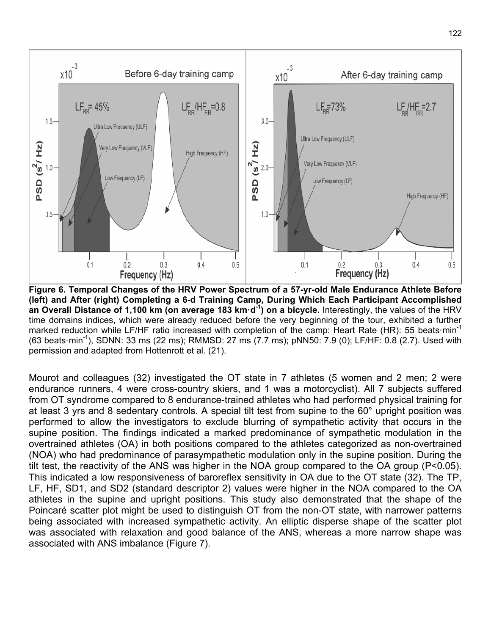

**Figure 6. Temporal Changes of the HRV Power Spectrum of a 57-yr-old Male Endurance Athlete Before (left) and After (right) Completing a 6-d Training Camp, During Which Each Participant Accomplished an Overall Distance of 1,100 km (on average 183 km·d-1 ) on a bicycle.** Interestingly, the values of the HRV time domains indices, which were already reduced before the very beginning of the tour, exhibited a further marked reduction while LF/HF ratio increased with completion of the camp: Heart Rate (HR): 55 beats min<sup>-1</sup> (63 beats·min<sup>-1</sup>), SDNN: 33 ms (22 ms); RMMSD: 27 ms (7.7 ms); pNN50: 7.9 (0); LF/HF: 0.8 (2.7). Used with permission and adapted from Hottenrott et al. (21).

Mourot and colleagues (32) investigated the OT state in 7 athletes (5 women and 2 men; 2 were endurance runners, 4 were cross-country skiers, and 1 was a motorcyclist). All 7 subjects suffered from OT syndrome compared to 8 endurance-trained athletes who had performed physical training for at least 3 yrs and 8 sedentary controls. A special tilt test from supine to the 60° upright position was performed to allow the investigators to exclude blurring of sympathetic activity that occurs in the supine position. The findings indicated a marked predominance of sympathetic modulation in the overtrained athletes (OA) in both positions compared to the athletes categorized as non-overtrained (NOA) who had predominance of parasympathetic modulation only in the supine position. During the tilt test, the reactivity of the ANS was higher in the NOA group compared to the OA group (P<0.05). This indicated a low responsiveness of baroreflex sensitivity in OA due to the OT state (32). The TP, LF, HF, SD1, and SD2 (standard descriptor 2) values were higher in the NOA compared to the OA athletes in the supine and upright positions. This study also demonstrated that the shape of the Poincaré scatter plot might be used to distinguish OT from the non-OT state, with narrower patterns being associated with increased sympathetic activity. An elliptic disperse shape of the scatter plot was associated with relaxation and good balance of the ANS, whereas a more narrow shape was associated with ANS imbalance (Figure 7).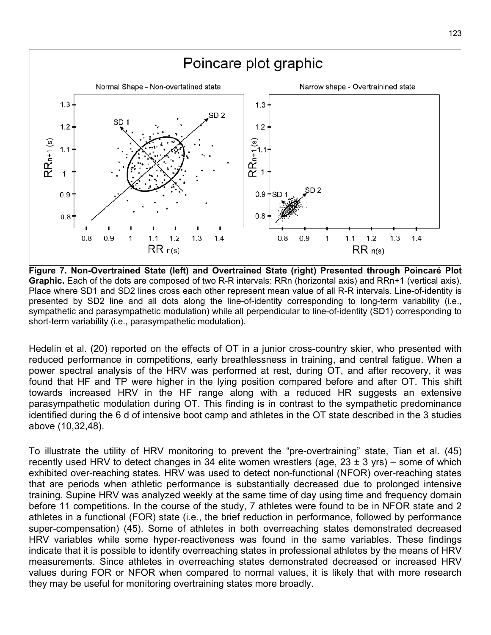

**Figure 7. Non-Overtrained State (left) and Overtrained State (right) Presented through Poincaré Plot Graphic.** Each of the dots are composed of two R-R intervals: RRn (horizontal axis) and RRn+1 (vertical axis). Place where SD1 and SD2 lines cross each other represent mean value of all R-R intervals. Line-of-identity is presented by SD2 line and all dots along the line-of-identity corresponding to long-term variability (i.e., sympathetic and parasympathetic modulation) while all perpendicular to line-of-identity (SD1) corresponding to short-term variability (i.e., parasympathetic modulation).

Hedelin et al. (20) reported on the effects of OT in a junior cross-country skier, who presented with reduced performance in competitions, early breathlessness in training, and central fatigue. When a power spectral analysis of the HRV was performed at rest, during OT, and after recovery, it was found that HF and TP were higher in the lying position compared before and after OT. This shift towards increased HRV in the HF range along with a reduced HR suggests an extensive parasympathetic modulation during OT. This finding is in contrast to the sympathetic predominance identified during the 6 d of intensive boot camp and athletes in the OT state described in the 3 studies above (10,32,48).

To illustrate the utility of HRV monitoring to prevent the "pre-overtraining" state, Tian et al. (45) recently used HRV to detect changes in 34 elite women wrestlers (age,  $23 \pm 3$  yrs) – some of which exhibited over-reaching states. HRV was used to detect non-functional (NFOR) over-reaching states that are periods when athletic performance is substantially decreased due to prolonged intensive training. Supine HRV was analyzed weekly at the same time of day using time and frequency domain before 11 competitions. In the course of the study, 7 athletes were found to be in NFOR state and 2 athletes in a functional (FOR) state (i.e., the brief reduction in performance, followed by performance super-compensation) (45). Some of athletes in both overreaching states demonstrated decreased HRV variables while some hyper-reactiveness was found in the same variables. These findings indicate that it is possible to identify overreaching states in professional athletes by the means of HRV measurements. Since athletes in overreaching states demonstrated decreased or increased HRV values during FOR or NFOR when compared to normal values, it is likely that with more research they may be useful for monitoring overtraining states more broadly.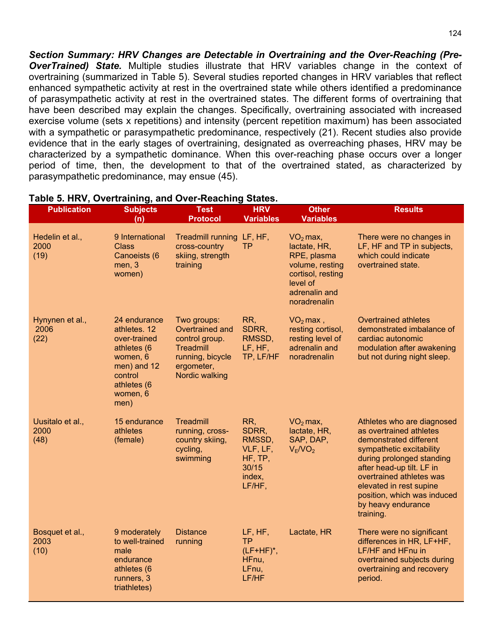*Section Summary: HRV Changes are Detectable in Overtraining and the Over-Reaching (Pre-***OverTrained) State.** Multiple studies illustrate that HRV variables change in the context of overtraining (summarized in Table 5). Several studies reported changes in HRV variables that reflect enhanced sympathetic activity at rest in the overtrained state while others identified a predominance of parasympathetic activity at rest in the overtrained states. The different forms of overtraining that have been described may explain the changes. Specifically, overtraining associated with increased exercise volume (sets x repetitions) and intensity (percent repetition maximum) has been associated with a sympathetic or parasympathetic predominance, respectively (21). Recent studies also provide evidence that in the early stages of overtraining, designated as overreaching phases, HRV may be characterized by a sympathetic dominance. When this over-reaching phase occurs over a longer period of time, then, the development to that of the overtrained stated, as characterized by parasympathetic predominance, may ensue (45).

| <b>Publication</b>               | <b>Subjects</b><br>(n)                                                                                                               | <b>Test</b><br><b>Protocol</b>                                                                                    | <b>HRV</b><br><b>Variables</b>                                             | <b>Other</b><br><b>Variables</b>                                                                                               | <b>Results</b>                                                                                                                                                                                                                                                                                 |
|----------------------------------|--------------------------------------------------------------------------------------------------------------------------------------|-------------------------------------------------------------------------------------------------------------------|----------------------------------------------------------------------------|--------------------------------------------------------------------------------------------------------------------------------|------------------------------------------------------------------------------------------------------------------------------------------------------------------------------------------------------------------------------------------------------------------------------------------------|
| Hedelin et al.,<br>2000<br>(19)  | 9 International<br>Class<br>Canoeists (6<br>men, 3<br>women)                                                                         | <b>Treadmill running</b><br>cross-country<br>skiing, strength<br>training                                         | LF, HF,<br>ТP                                                              | $VO2$ max,<br>lactate, HR,<br>RPE, plasma<br>volume, resting<br>cortisol, resting<br>level of<br>adrenalin and<br>noradrenalin | There were no changes in<br>LF, HF and TP in subjects,<br>which could indicate<br>overtrained state.                                                                                                                                                                                           |
| Hynynen et al.,<br>2006<br>(22)  | 24 endurance<br>athletes. 12<br>over-trained<br>athletes (6<br>women, 6<br>men) and 12<br>control<br>athletes (6<br>women, 6<br>men) | Two groups:<br>Overtrained and<br>control group.<br>Treadmill<br>running, bicycle<br>ergometer,<br>Nordic walking | RR,<br>SDRR,<br>RMSSD,<br>LF, HF,<br>TP, LF/HF                             | $VO2$ max,<br>resting cortisol,<br>resting level of<br>adrenalin and<br>noradrenalin                                           | <b>Overtrained athletes</b><br>demonstrated imbalance of<br>cardiac autonomic<br>modulation after awakening<br>but not during night sleep.                                                                                                                                                     |
| Uusitalo et al.,<br>2000<br>(48) | 15 endurance<br>athletes<br>(female)                                                                                                 | <b>Treadmill</b><br>running, cross-<br>country skiing,<br>cycling,<br>swimming                                    | RR,<br>SDRR,<br>RMSSD,<br>VLF, LF,<br>HF, TP,<br>30/15<br>index,<br>LF/HF, | $VO2$ max,<br>lactate, HR,<br>SAP, DAP,<br>$V_E/NO_2$                                                                          | Athletes who are diagnosed<br>as overtrained athletes<br>demonstrated different<br>sympathetic excitability<br>during prolonged standing<br>after head-up tilt. LF in<br>overtrained athletes was<br>elevated in rest supine<br>position, which was induced<br>by heavy endurance<br>training. |
| Bosquet et al.,<br>2003<br>(10)  | 9 moderately<br>to well-trained<br>male<br>endurance<br>athletes (6<br>runners, 3<br>triathletes)                                    | <b>Distance</b><br>running                                                                                        | LF, HF,<br><b>TP</b><br>$(LF+HF)^*$ ,<br>HFnu,<br>LFnu,<br>LF/HF           | Lactate, HR                                                                                                                    | There were no significant<br>differences in HR, LF+HF,<br>LF/HF and HFnu in<br>overtrained subjects during<br>overtraining and recovery<br>period.                                                                                                                                             |

#### **Table 5. HRV, Overtraining, and Over-Reaching States.**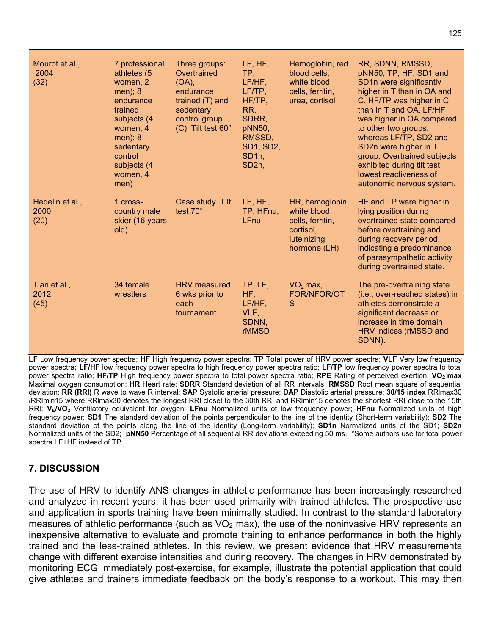| Mourot et al.,<br>2004<br>(32)  | 7 professional<br>athletes (5<br>women, 2<br>men); 8<br>endurance<br>trained<br>subjects (4<br>women, 4<br>men); 8<br>sedentary<br>control<br>subjects (4<br>women, 4<br>men) | Three groups:<br>Overtrained<br>$(OA)$ ,<br>endurance<br>trained (T) and<br>sedentary<br>control group<br>(C). Tilt test 60° | LF, HF,<br>TP,<br>LF/HF.<br>LF/TP,<br>HF/TP,<br>RR,<br>SDRR,<br>pNN50,<br>RMSSD.<br>SD1, SD2,<br>SD <sub>1n</sub><br>SD <sub>2n</sub> | Hemoglobin, red<br>blood cells,<br>white blood<br>cells, ferritin,<br>urea, cortisol           | RR, SDNN, RMSSD,<br>pNN50, TP, HF, SD1 and<br>SD1n were significantly<br>higher in T than in OA and<br>C. HF/TP was higher in C<br>than in T and OA. LF/HF<br>was higher in OA compared<br>to other two groups,<br>whereas LF/TP, SD2 and<br>SD2n were higher in T<br>group. Overtrained subjects<br>exhibited during tilt test<br>lowest reactiveness of<br>autonomic nervous system. |
|---------------------------------|-------------------------------------------------------------------------------------------------------------------------------------------------------------------------------|------------------------------------------------------------------------------------------------------------------------------|---------------------------------------------------------------------------------------------------------------------------------------|------------------------------------------------------------------------------------------------|----------------------------------------------------------------------------------------------------------------------------------------------------------------------------------------------------------------------------------------------------------------------------------------------------------------------------------------------------------------------------------------|
| Hedelin et al.,<br>2000<br>(20) | 1 cross-<br>country male<br>skier (16 years<br>old)                                                                                                                           | Case study. Tilt<br>test 70°                                                                                                 | LF, HF,<br>TP, HFnu,<br>LFnu                                                                                                          | HR, hemoglobin,<br>white blood<br>cells, ferritin,<br>cortisol,<br>luteinizing<br>hormone (LH) | HF and TP were higher in<br>lying position during<br>overtrained state compared<br>before overtraining and<br>during recovery period,<br>indicating a predominance<br>of parasympathetic activity<br>during overtrained state.                                                                                                                                                         |
| Tian et al.,<br>2012<br>(45)    | 34 female<br>wrestlers                                                                                                                                                        | <b>HRV</b> measured<br>6 wks prior to<br>each<br>tournament                                                                  | TP, LF,<br>HF,<br>LF/HF,<br>VLF,<br>SDNN,<br><b>rMMSD</b>                                                                             | $VO2$ max,<br><b>FOR/NFOR/OT</b><br>S                                                          | The pre-overtraining state<br>(i.e., over-reached states) in<br>athletes demonstrate a<br>significant decrease or<br>increase in time domain<br>HRV indices (rMSSD and<br>SDNN).                                                                                                                                                                                                       |

**LF** Low frequency power spectra; **HF** High frequency power spectra; **TP** Total power of HRV power spectra; **VLF** Very low frequency power spectra**; LF/HF** low frequency power spectra to high frequency power spectra ratio; **LF/TP** low frequency power spectra to total power spectra ratio; **HF/TP** High frequency power spectra to total power spectra ratio; **RPE** Rating of perceived exertion; **VO2 max** Maximal oxygen consumption; **HR** Heart rate; **SDRR** Standard deviation of all RR intervals; **RMSSD** Root mean square of sequential deviation; **RR (RRI)** R wave to wave R interval; **SAP** Systolic arterial pressure; **DAP** Diastolic arterial pressure; **30/15 index** RRlmax30 /RRImin15 where RRlmax30 denotes the longest RRI closet to the 30th RRI and RRImin15 denotes the shortest RRI close to the 15th RRI; **VE/VO2** Ventilatory equivalent for oxygen; **LFnu** Normalized units of low frequency power; **HFnu** Normalized units of high frequency power; **SD1** The standard deviation of the points perpendicular to the line of the identity (Short-term variability); **SD2** The standard deviation of the points along the line of the identity (Long-term variability); **SD1n** Normalized units of the SD1; **SD2n** Normalized units of the SD2; **pNN50** Percentage of all sequential RR deviations exceeding 50 ms. **\***Some authors use for total power spectra LF+HF instead of TP

## **7. DISCUSSION**

The use of HRV to identify ANS changes in athletic performance has been increasingly researched and analyzed in recent years, it has been used primarily with trained athletes. The prospective use and application in sports training have been minimally studied. In contrast to the standard laboratory measures of athletic performance (such as  $VO<sub>2</sub>$  max), the use of the noninvasive HRV represents an inexpensive alternative to evaluate and promote training to enhance performance in both the highly trained and the less-trained athletes. In this review, we present evidence that HRV measurements change with different exercise intensities and during recovery. The changes in HRV demonstrated by monitoring ECG immediately post-exercise, for example, illustrate the potential application that could give athletes and trainers immediate feedback on the body's response to a workout. This may then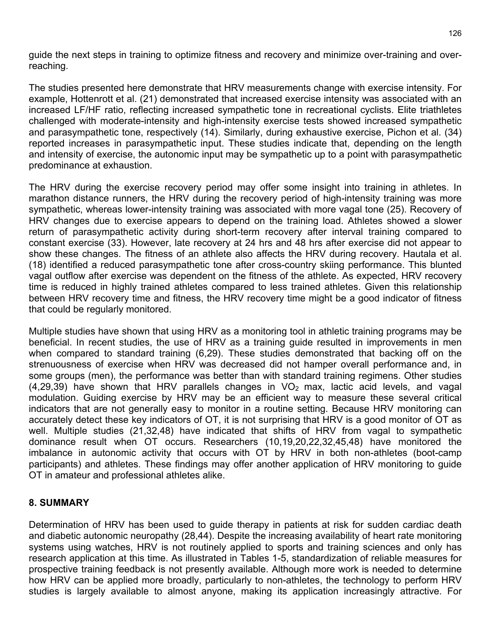guide the next steps in training to optimize fitness and recovery and minimize over-training and overreaching.

The studies presented here demonstrate that HRV measurements change with exercise intensity. For example, Hottenrott et al. (21) demonstrated that increased exercise intensity was associated with an increased LF/HF ratio, reflecting increased sympathetic tone in recreational cyclists. Elite triathletes challenged with moderate-intensity and high-intensity exercise tests showed increased sympathetic and parasympathetic tone, respectively (14). Similarly, during exhaustive exercise, Pichon et al. (34) reported increases in parasympathetic input. These studies indicate that, depending on the length and intensity of exercise, the autonomic input may be sympathetic up to a point with parasympathetic predominance at exhaustion.

The HRV during the exercise recovery period may offer some insight into training in athletes. In marathon distance runners, the HRV during the recovery period of high-intensity training was more sympathetic, whereas lower-intensity training was associated with more vagal tone (25). Recovery of HRV changes due to exercise appears to depend on the training load. Athletes showed a slower return of parasympathetic activity during short-term recovery after interval training compared to constant exercise (33). However, late recovery at 24 hrs and 48 hrs after exercise did not appear to show these changes. The fitness of an athlete also affects the HRV during recovery. Hautala et al. (18) identified a reduced parasympathetic tone after cross-country skiing performance. This blunted vagal outflow after exercise was dependent on the fitness of the athlete. As expected, HRV recovery time is reduced in highly trained athletes compared to less trained athletes. Given this relationship between HRV recovery time and fitness, the HRV recovery time might be a good indicator of fitness that could be regularly monitored.

Multiple studies have shown that using HRV as a monitoring tool in athletic training programs may be beneficial. In recent studies, the use of HRV as a training guide resulted in improvements in men when compared to standard training (6,29). These studies demonstrated that backing off on the strenuousness of exercise when HRV was decreased did not hamper overall performance and, in some groups (men), the performance was better than with standard training regimens. Other studies  $(4,29,39)$  have shown that HRV parallels changes in  $VO<sub>2</sub>$  max, lactic acid levels, and vagal modulation. Guiding exercise by HRV may be an efficient way to measure these several critical indicators that are not generally easy to monitor in a routine setting. Because HRV monitoring can accurately detect these key indicators of OT, it is not surprising that HRV is a good monitor of OT as well. Multiple studies (21,32,48) have indicated that shifts of HRV from vagal to sympathetic dominance result when OT occurs. Researchers (10,19,20,22,32,45,48) have monitored the imbalance in autonomic activity that occurs with OT by HRV in both non-athletes (boot-camp participants) and athletes. These findings may offer another application of HRV monitoring to guide OT in amateur and professional athletes alike.

#### **8. SUMMARY**

Determination of HRV has been used to guide therapy in patients at risk for sudden cardiac death and diabetic autonomic neuropathy (28,44). Despite the increasing availability of heart rate monitoring systems using watches. HRV is not routinely applied to sports and training sciences and only has research application at this time. As illustrated in Tables 1-5, standardization of reliable measures for prospective training feedback is not presently available. Although more work is needed to determine how HRV can be applied more broadly, particularly to non-athletes, the technology to perform HRV studies is largely available to almost anyone, making its application increasingly attractive. For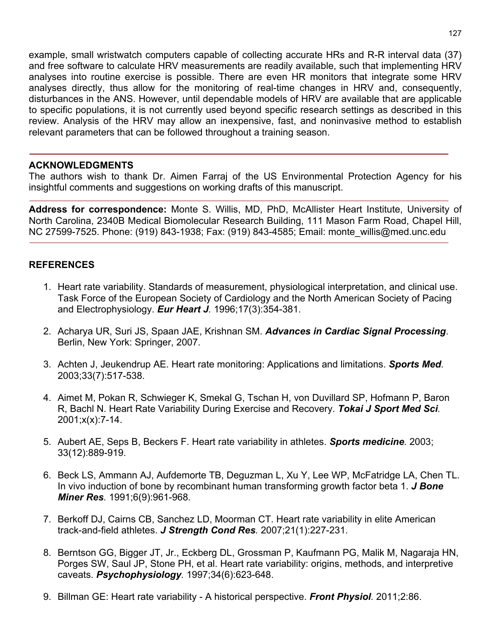example, small wristwatch computers capable of collecting accurate HRs and R-R interval data (37) and free software to calculate HRV measurements are readily available, such that implementing HRV analyses into routine exercise is possible. There are even HR monitors that integrate some HRV analyses directly, thus allow for the monitoring of real-time changes in HRV and, consequently, disturbances in the ANS. However, until dependable models of HRV are available that are applicable to specific populations, it is not currently used beyond specific research settings as described in this review. Analysis of the HRV may allow an inexpensive, fast, and noninvasive method to establish relevant parameters that can be followed throughout a training season.

#### **ACKNOWLEDGMENTS**

The authors wish to thank Dr. Aimen Farraj of the US Environmental Protection Agency for his insightful comments and suggestions on working drafts of this manuscript.

**Address for correspondence:** Monte S. Willis, MD, PhD, McAllister Heart Institute, University of North Carolina, 2340B Medical Biomolecular Research Building, 111 Mason Farm Road, Chapel Hill, NC 27599-7525. Phone: (919) 843-1938; Fax: (919) 843-4585; Email: monte\_willis@med.unc.edu

#### **REFERENCES**

- 1. Heart rate variability. Standards of measurement, physiological interpretation, and clinical use. Task Force of the European Society of Cardiology and the North American Society of Pacing and Electrophysiology. *Eur Heart J.* 1996;17(3):354-381.
- 2. Acharya UR, Suri JS, Spaan JAE, Krishnan SM. *Advances in Cardiac Signal Processing*. Berlin, New York: Springer, 2007.
- 3. Achten J, Jeukendrup AE. Heart rate monitoring: Applications and limitations. *Sports Med.*  2003;33(7):517-538.
- 4. Aimet M, Pokan R, Schwieger K, Smekal G, Tschan H, von Duvillard SP, Hofmann P, Baron R, Bachl N. Heart Rate Variability During Exercise and Recovery. *Tokai J Sport Med Sci.*  2001;x(x):7-14.
- 5. Aubert AE, Seps B, Beckers F. Heart rate variability in athletes. *Sports medicine.* 2003; 33(12):889-919.
- 6. Beck LS, Ammann AJ, Aufdemorte TB, Deguzman L, Xu Y, Lee WP, McFatridge LA, Chen TL. In vivo induction of bone by recombinant human transforming growth factor beta 1. *J Bone Miner Res.* 1991;6(9):961-968.
- 7. Berkoff DJ, Cairns CB, Sanchez LD, Moorman CT. Heart rate variability in elite American track-and-field athletes. *J Strength Cond Res.* 2007;21(1):227-231.
- 8. Berntson GG, Bigger JT, Jr., Eckberg DL, Grossman P, Kaufmann PG, Malik M, Nagaraja HN, Porges SW, Saul JP, Stone PH, et al. Heart rate variability: origins, methods, and interpretive caveats. *Psychophysiology.* 1997;34(6):623-648.
- 9. Billman GE: Heart rate variability A historical perspective. *Front Physiol.* 2011;2:86.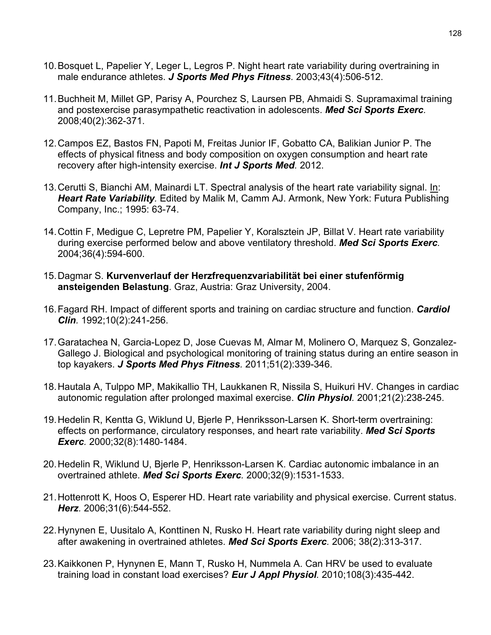- 10.Bosquet L, Papelier Y, Leger L, Legros P. Night heart rate variability during overtraining in male endurance athletes. *J Sports Med Phys Fitness.* 2003;43(4):506-512.
- 11.Buchheit M, Millet GP, Parisy A, Pourchez S, Laursen PB, Ahmaidi S. Supramaximal training and postexercise parasympathetic reactivation in adolescents. *Med Sci Sports Exerc.* 2008;40(2):362-371.
- 12.Campos EZ, Bastos FN, Papoti M, Freitas Junior IF, Gobatto CA, Balikian Junior P. The effects of physical fitness and body composition on oxygen consumption and heart rate recovery after high-intensity exercise. *Int J Sports Med.* 2012.
- 13.Cerutti S, Bianchi AM, Mainardi LT. Spectral analysis of the heart rate variability signal. In: *Heart Rate Variability.* Edited by Malik M, Camm AJ. Armonk, New York: Futura Publishing Company, Inc.; 1995: 63-74.
- 14.Cottin F, Medigue C, Lepretre PM, Papelier Y, Koralsztein JP, Billat V. Heart rate variability during exercise performed below and above ventilatory threshold. *Med Sci Sports Exerc.*  2004;36(4):594-600.
- 15.Dagmar S. **Kurvenverlauf der Herzfrequenzvariabilität bei einer stufenförmig ansteigenden Belastung**. Graz, Austria: Graz University, 2004.
- 16.Fagard RH. Impact of different sports and training on cardiac structure and function. *Cardiol Clin.* 1992;10(2):241-256.
- 17.Garatachea N, Garcia-Lopez D, Jose Cuevas M, Almar M, Molinero O, Marquez S, Gonzalez-Gallego J. Biological and psychological monitoring of training status during an entire season in top kayakers. *J Sports Med Phys Fitness.* 2011;51(2):339-346.
- 18.Hautala A, Tulppo MP, Makikallio TH, Laukkanen R, Nissila S, Huikuri HV. Changes in cardiac autonomic regulation after prolonged maximal exercise. *Clin Physiol.* 2001;21(2):238-245.
- 19.Hedelin R, Kentta G, Wiklund U, Bjerle P, Henriksson-Larsen K. Short-term overtraining: effects on performance, circulatory responses, and heart rate variability. *Med Sci Sports Exerc.* 2000;32(8):1480-1484.
- 20.Hedelin R, Wiklund U, Bjerle P, Henriksson-Larsen K. Cardiac autonomic imbalance in an overtrained athlete. *Med Sci Sports Exerc.* 2000;32(9):1531-1533.
- 21.Hottenrott K, Hoos O, Esperer HD. Heart rate variability and physical exercise. Current status. *Herz.* 2006;31(6):544-552.
- 22.Hynynen E, Uusitalo A, Konttinen N, Rusko H. Heart rate variability during night sleep and after awakening in overtrained athletes. *Med Sci Sports Exerc.* 2006; 38(2):313-317.
- 23.Kaikkonen P, Hynynen E, Mann T, Rusko H, Nummela A. Can HRV be used to evaluate training load in constant load exercises? *Eur J Appl Physiol.* 2010;108(3):435-442.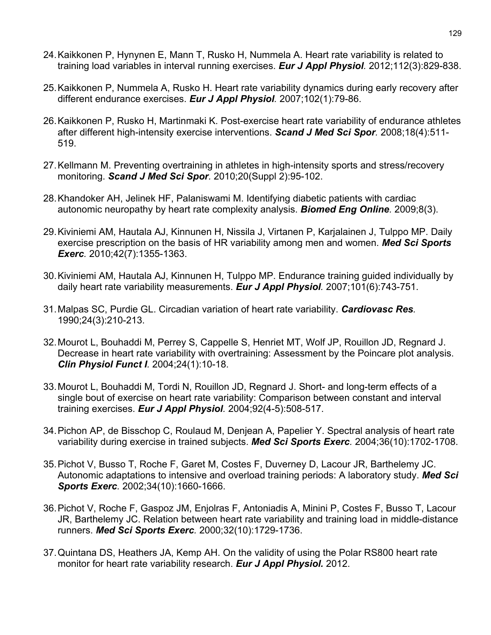- 24.Kaikkonen P, Hynynen E, Mann T, Rusko H, Nummela A. Heart rate variability is related to training load variables in interval running exercises. *Eur J Appl Physiol.* 2012;112(3):829-838.
- 25.Kaikkonen P, Nummela A, Rusko H. Heart rate variability dynamics during early recovery after different endurance exercises. *Eur J Appl Physiol.* 2007;102(1):79-86.
- 26.Kaikkonen P, Rusko H, Martinmaki K. Post-exercise heart rate variability of endurance athletes after different high-intensity exercise interventions. *Scand J Med Sci Spor.* 2008;18(4):511- 519.
- 27.Kellmann M. Preventing overtraining in athletes in high-intensity sports and stress/recovery monitoring. *Scand J Med Sci Spor.* 2010;20(Suppl 2):95-102.
- 28.Khandoker AH, Jelinek HF, Palaniswami M. Identifying diabetic patients with cardiac autonomic neuropathy by heart rate complexity analysis. *Biomed Eng Online.* 2009;8(3).
- 29.Kiviniemi AM, Hautala AJ, Kinnunen H, Nissila J, Virtanen P, Karjalainen J, Tulppo MP. Daily exercise prescription on the basis of HR variability among men and women. *Med Sci Sports Exerc.* 2010;42(7):1355-1363.
- 30.Kiviniemi AM, Hautala AJ, Kinnunen H, Tulppo MP. Endurance training guided individually by daily heart rate variability measurements. *Eur J Appl Physiol.* 2007;101(6):743-751.
- 31.Malpas SC, Purdie GL. Circadian variation of heart rate variability. *Cardiovasc Res.*  1990;24(3):210-213.
- 32.Mourot L, Bouhaddi M, Perrey S, Cappelle S, Henriet MT, Wolf JP, Rouillon JD, Regnard J. Decrease in heart rate variability with overtraining: Assessment by the Poincare plot analysis. *Clin Physiol Funct I.* 2004;24(1):10-18.
- 33.Mourot L, Bouhaddi M, Tordi N, Rouillon JD, Regnard J. Short- and long-term effects of a single bout of exercise on heart rate variability: Comparison between constant and interval training exercises. *Eur J Appl Physiol.* 2004;92(4-5):508-517.
- 34.Pichon AP, de Bisschop C, Roulaud M, Denjean A, Papelier Y. Spectral analysis of heart rate variability during exercise in trained subjects. *Med Sci Sports Exerc.* 2004;36(10):1702-1708.
- 35.Pichot V, Busso T, Roche F, Garet M, Costes F, Duverney D, Lacour JR, Barthelemy JC. Autonomic adaptations to intensive and overload training periods: A laboratory study. *Med Sci Sports Exerc.* 2002;34(10):1660-1666.
- 36.Pichot V, Roche F, Gaspoz JM, Enjolras F, Antoniadis A, Minini P, Costes F, Busso T, Lacour JR, Barthelemy JC. Relation between heart rate variability and training load in middle-distance runners. *Med Sci Sports Exerc.* 2000;32(10):1729-1736.
- 37.Quintana DS, Heathers JA, Kemp AH. On the validity of using the Polar RS800 heart rate monitor for heart rate variability research. *Eur J Appl Physiol.* 2012.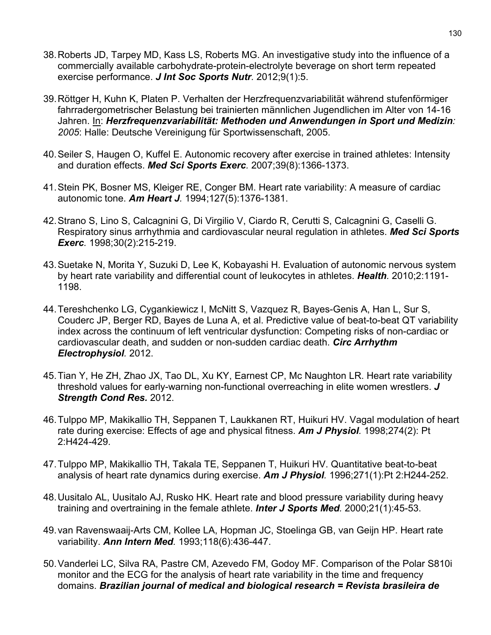- 38.Roberts JD, Tarpey MD, Kass LS, Roberts MG. An investigative study into the influence of a commercially available carbohydrate-protein-electrolyte beverage on short term repeated exercise performance. *J Int Soc Sports Nutr.* 2012;9(1):5.
- 39.Röttger H, Kuhn K, Platen P. Verhalten der Herzfrequenzvariabilität während stufenförmiger fahrradergometrischer Belastung bei trainierten männlichen Jugendlichen im Alter von 14-16 Jahren. In: *Herzfrequenzvariabilität: Methoden und Anwendungen in Sport und Medizin: 2005*: Halle: Deutsche Vereinigung für Sportwissenschaft, 2005.
- 40.Seiler S, Haugen O, Kuffel E. Autonomic recovery after exercise in trained athletes: Intensity and duration effects. *Med Sci Sports Exerc.* 2007;39(8):1366-1373.
- 41.Stein PK, Bosner MS, Kleiger RE, Conger BM. Heart rate variability: A measure of cardiac autonomic tone. *Am Heart J.* 1994;127(5):1376-1381.
- 42.Strano S, Lino S, Calcagnini G, Di Virgilio V, Ciardo R, Cerutti S, Calcagnini G, Caselli G. Respiratory sinus arrhythmia and cardiovascular neural regulation in athletes. *Med Sci Sports Exerc.* 1998;30(2):215-219.
- 43.Suetake N, Morita Y, Suzuki D, Lee K, Kobayashi H. Evaluation of autonomic nervous system by heart rate variability and differential count of leukocytes in athletes. *Health.* 2010;2:1191- 1198.
- 44.Tereshchenko LG, Cygankiewicz I, McNitt S, Vazquez R, Bayes-Genis A, Han L, Sur S, Couderc JP, Berger RD, Bayes de Luna A, et al. Predictive value of beat-to-beat QT variability index across the continuum of left ventricular dysfunction: Competing risks of non-cardiac or cardiovascular death, and sudden or non-sudden cardiac death. *Circ Arrhythm Electrophysiol.* 2012.
- 45.Tian Y, He ZH, Zhao JX, Tao DL, Xu KY, Earnest CP, Mc Naughton LR. Heart rate variability threshold values for early-warning non-functional overreaching in elite women wrestlers. *J Strength Cond Res.* 2012.
- 46.Tulppo MP, Makikallio TH, Seppanen T, Laukkanen RT, Huikuri HV. Vagal modulation of heart rate during exercise: Effects of age and physical fitness. *Am J Physiol.* 1998;274(2): Pt 2:H424-429.
- 47.Tulppo MP, Makikallio TH, Takala TE, Seppanen T, Huikuri HV. Quantitative beat-to-beat analysis of heart rate dynamics during exercise. *Am J Physiol.* 1996;271(1):Pt 2:H244-252.
- 48.Uusitalo AL, Uusitalo AJ, Rusko HK. Heart rate and blood pressure variability during heavy training and overtraining in the female athlete. *Inter J Sports Med.* 2000;21(1):45-53.
- 49.van Ravenswaaij-Arts CM, Kollee LA, Hopman JC, Stoelinga GB, van Geijn HP. Heart rate variability. *Ann Intern Med.* 1993;118(6):436-447.
- 50.Vanderlei LC, Silva RA, Pastre CM, Azevedo FM, Godoy MF. Comparison of the Polar S810i monitor and the ECG for the analysis of heart rate variability in the time and frequency domains. *Brazilian journal of medical and biological research = Revista brasileira de*